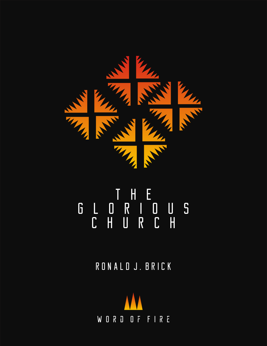

# THE<br>RII<br>UR GLORIOUS CHURCH

RONALD J. BRICK

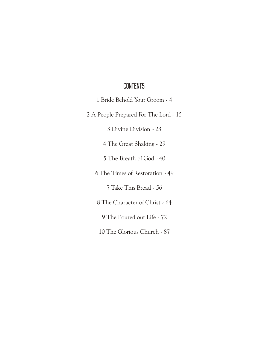## **CONTENTS**

1 Bride Behold Your Groom - 4

2 A People Prepared For The Lord - 15

3 Divine Division - 23

4 The Great Shaking - 29

5 The Breath of God - 40

6 The Times of Restoration - 49

7 Take This Bread - 56

8 The Character of Christ - 64

9 The Poured out Life - 72

10 The Glorious Church - 87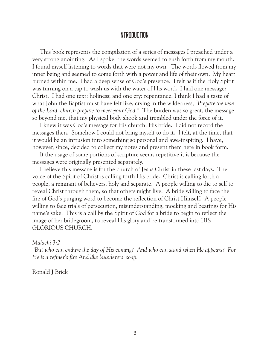## INTRODUCTION

 This book represents the compilation of a series of messages I preached under a very strong anointing. As I spoke, the words seemed to gush forth from my mouth. I found myself listening to words that were not my own. The words flowed from my inner being and seemed to come forth with a power and life of their own. My heart burned within me. I had a deep sense of God's presence. I felt as if the Holy Spirit was turning on a tap to wash us with the water of His word. I had one message: Christ. I had one text: holiness; and one cry: repentance. I think I had a taste of what John the Baptist must have felt like, crying in the wilderness, *"Prepare the way of the Lord, church prepare to meet your God."* The burden was so great, the message so beyond me, that my physical body shook and trembled under the force of it.

 I knew it was God's message for His church: His bride. I did not record the messages then. Somehow I could not bring myself to do it. I felt, at the time, that it would be an intrusion into something so personal and awe-inspiring. I have, however, since, decided to collect my notes and present them here in book form.

 If the usage of some portions of scripture seems repetitive it is because the messages were originally presented separately.

 I believe this message is for the church of Jesus Christ in these last days. The voice of the Spirit of Christ is calling forth His bride. Christ is calling forth a people, a remnant of believers, holy and separate. A people willing to die to self to reveal Christ through them, so that others might live. A bride willing to face the fire of God's purging word to become the reflection of Christ Himself. A people willing to face trials of persecution, misunderstanding, mocking and beatings for His name's sake. This is a call by the Spirit of God for a bride to begin to reflect the image of her bridegroom, to reveal His glory and be transformed into HIS GLORIOUS CHURCH.

## *Malachi 3:2*

*"But who can endure the day of His coming? And who can stand when He appears? For He is a refiner's fire And like launderers' soap.*

Ronald J Brick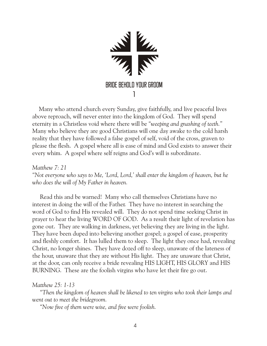

 Many who attend church every Sunday, give faithfully, and live peaceful lives above reproach, will never enter into the kingdom of God. They will spend eternity in a Christless void where there will be *"weeping and gnashing of teeth."*  Many who believe they are good Christians will one day awake to the cold harsh reality that they have followed a false gospel of self, void of the cross, graven to please the flesh. A gospel where all is ease of mind and God exists to answer their every whim. A gospel where self reigns and God's will is subordinate.

*Matthew 7: 21 "Not everyone who says to Me, 'Lord, Lord,' shall enter the kingdom of heaven, but he who does the will of My Father in heaven.*

 Read this and be warned! Many who call themselves Christians have no interest in doing the will of the Father. They have no interest in searching the word of God to find His revealed will. They do not spend time seeking Christ in prayer to hear the living WORD OF GOD. As a result their light of revelation has gone out. They are walking in darkness, yet believing they are living in the light. They have been duped into believing another gospel; a gospel of ease, prosperity and fleshly comfort. It has lulled them to sleep. The light they once had, revealing Christ, no longer shines. They have dozed off to sleep, unaware of the lateness of the hour, unaware that they are without His light. They are unaware that Christ, at the door, can only receive a bride revealing HIS LIGHT, HIS GLORY and HIS BURNING. These are the foolish virgins who have let their fire go out.

*Matthew 25: 1-13*

 *"Then the kingdom of heaven shall be likened to ten virgins who took their lamps and went out to meet the bridegroom.*

 *"Now five of them were wise, and five were foolish.*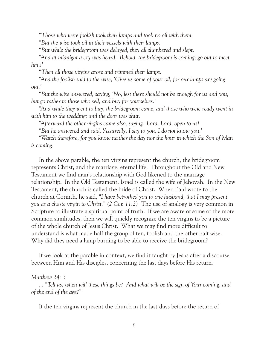*"Those who were foolish took their lamps and took no oil with them,*

 *"But the wise took oil in their vessels with their lamps.*

 *"But while the bridegroom was delayed, they all slumbered and slept.*

 *"And at midnight a cry was heard: 'Behold, the bridegroom is coming; go out to meet him!'*

 *"Then all those virgins arose and trimmed their lamps.*

 *"And the foolish said to the wise, 'Give us some of your oil, for our lamps are going out.'*

 *"But the wise answered, saying, 'No, lest there should not be enough for us and you; but go rather to those who sell, and buy for yourselves.'*

 *"And while they went to buy, the bridegroom came, and those who were ready went in with him to the wedding; and the door was shut.*

 *"Afterward the other virgins came also, saying, 'Lord, Lord, open to us!*

 *"But he answered and said, 'Assuredly, I say to you, I do not know you.'*

 *"Watch therefore, for you know neither the day nor the hour in which the Son of Man is coming.*

 In the above parable, the ten virgins represent the church, the bridegroom represents Christ, and the marriage, eternal life. Throughout the Old and New Testament we find man's relationship with God likened to the marriage relationship. In the Old Testament, Israel is called the wife of Jehovah. In the New Testament, the church is called the bride of Christ. When Paul wrote to the church at Corinth, he said, *"I have betrothed you to one husband, that I may present you as a chaste virgin to Christ." (2 Cor. 11:2)* The use of analogy is very common in Scripture to illustrate a spiritual point of truth. If we are aware of some of the more common similitudes, then we will quickly recognize the ten virgins to be a picture of the whole church of Jesus Christ. What we may find more difficult to understand is what made half the group of ten, foolish and the other half wise. Why did they need a lamp burning to be able to receive the bridegroom?

 If we look at the parable in context, we find it taught by Jesus after a discourse between Him and His disciples, concerning the last days before His return.

#### *Matthew 24: 3*

 *... "Tell us, when will these things be? And what will be the sign of Your coming, and of the end of the age?"*

If the ten virgins represent the church in the last days before the return of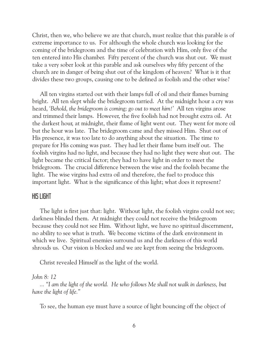Christ, then we, who believe we are that church, must realize that this parable is of extreme importance to us. For although the whole church was looking for the coming of the bridegroom and the time of celebration with Him, only five of the ten entered into His chamber. Fifty percent of the church was shut out. We must take a very sober look at this parable and ask ourselves why fifty percent of the church are in danger of being shut out of the kingdom of heaven? What is it that divides these two groups, causing one to be defined as foolish and the other wise?

 All ten virgins started out with their lamps full of oil and their flames burning bright. All ten slept while the bridegroom tarried. At the midnight hour a cry was heard, *'Behold, the bridegroom is coming; go out to meet him!'* All ten virgins arose and trimmed their lamps. However, the five foolish had not brought extra oil. At the darkest hour, at midnight, their flame of light went out. They went for more oil but the hour was late. The bridegroom came and they missed Him. Shut out of His presence, it was too late to do anything about the situation. The time to prepare for His coming was past. They had let their flame burn itself out. The foolish virgins had no light, and because they had no light they were shut out. The light became the critical factor; they had to have light in order to meet the bridegroom. The crucial difference between the wise and the foolish became the light. The wise virgins had extra oil and therefore, the fuel to produce this important light. What is the significance of this light; what does it represent?

## HIS LIGHT

 The light is first just that: light. Without light, the foolish virgins could not see; darkness blinded them. At midnight they could not receive the bridegroom because they could not see Him. Without light, we have no spiritual discernment, no ability to see what is truth. We become victims of the dark environment in which we live. Spiritual enemies surround us and the darkness of this world shrouds us. Our vision is blocked and we are kept from seeing the bridegroom.

Christ revealed Himself as the light of the world.

## *John 8: 12*

 *... "I am the light of the world. He who follows Me shall not walk in darkness, but have the light of life."*

To see, the human eye must have a source of light bouncing off the object of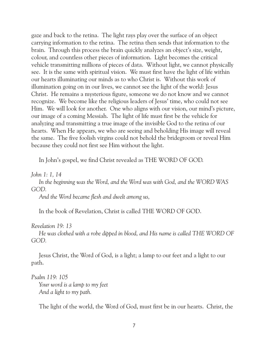gaze and back to the retina. The light rays play over the surface of an object carrying information to the retina. The retina then sends that information to the brain. Through this process the brain quickly analyzes an object's size, weight, colour, and countless other pieces of information. Light becomes the critical vehicle transmitting millions of pieces of data. Without light, we cannot physically see. It is the same with spiritual vision. We must first have the light of life within our hearts illuminating our minds as to who Christ is. Without this work of illumination going on in our lives, we cannot see the light of the world: Jesus Christ. He remains a mysterious figure, someone we do not know and we cannot recognize. We become like the religious leaders of Jesus' time, who could not see Him. We will look for another. One who aligns with our vision, our mind's picture, our image of a coming Messiah. The light of life must first be the vehicle for analyzing and transmitting a true image of the invisible God to the retina of our hearts. When He appears, we who are seeing and beholding His image will reveal the same. The five foolish virgins could not behold the bridegroom or reveal Him because they could not first see Him without the light.

In John's gospel, we find Christ revealed as THE WORD OF GOD.

#### *John 1: 1, 14*

 *In the beginning was the Word, and the Word was with God, and the WORD WAS GOD.*

 *And the Word became flesh and dwelt among us,*

In the book of Revelation, Christ is called THE WORD OF GOD.

*Revelation 19: 13*

 *He was clothed with a robe dipped in blood, and His name is called THE WORD OF GOD.*

 Jesus Christ, the Word of God, is a light; a lamp to our feet and a light to our path.

*Psalm 119: 105*

 *Your word is a lamp to my feet And a light to my path.*

The light of the world, the Word of God, must first be in our hearts. Christ, the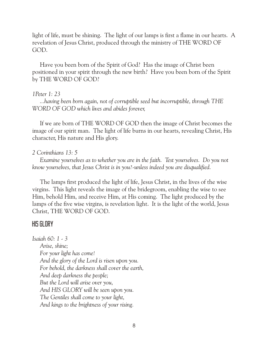light of life, must be shining. The light of our lamps is first a flame in our hearts. A revelation of Jesus Christ, produced through the ministry of THE WORD OF GOD.

 Have you been born of the Spirit of God? Has the image of Christ been positioned in your spirit through the new birth? Have you been born of the Spirit by THE WORD OF GOD?

## *1Peter 1: 23*

 *...having been born again, not of corruptible seed but incorruptible, through THE WORD OF GOD which lives and abides forever,*

 If we are born of THE WORD OF GOD then the image of Christ becomes the image of our spirit man. The light of life burns in our hearts, revealing Christ, His character, His nature and His glory.

## *2 Corinthians 13: 5*

 *Examine yourselves as to whether you are in the faith. Test yourselves. Do you not know yourselves, that Jesus Christ is in you?-unless indeed you are disqualified.*

 The lamps first produced the light of life, Jesus Christ, in the lives of the wise virgins. This light reveals the image of the bridegroom, enabling the wise to see Him, behold Him, and receive Him, at His coming. The light produced by the lamps of the five wise virgins, is revelation light. It is the light of the world, Jesus Christ, THE WORD OF GOD.

## HIS GLORY

*Isaiah 60: 1 - 3 Arise, shine; For your light has come! And the glory of the Lord is risen upon you. For behold, the darkness shall cover the earth, And deep darkness the people; But the Lord will arise over you, And HIS GLORY will be seen upon you. The Gentiles shall come to your light, And kings to the brightness of your rising.*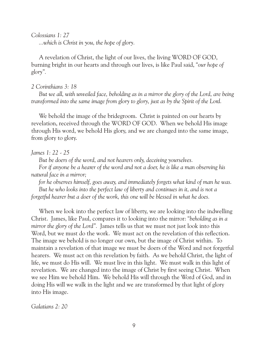*Colossians 1: 27*

 *...which is Christ in you, the hope of glory.*

 A revelation of Christ, the light of our lives, the living WORD OF GOD, burning bright in our hearts and through our lives, is like Paul said, *"our hope of glory".*

#### *2 Corinthians 3: 18*

 *But we all, with unveiled face, beholding as in a mirror the glory of the Lord, are being transformed into the same image from glory to glory, just as by the Spirit of the Lord.*

We behold the image of the bridegroom. Christ is painted on our hearts by revelation, received through the WORD OF GOD. When we behold His image through His word, we behold His glory, and we are changed into the same image, from glory to glory.

## *James 1: 22 - 25*

 *But be doers of the word, and not hearers only, deceiving yourselves.*

 *For if anyone be a hearer of the word and not a doer, he is like a man observing his natural face in a mirror;*

 *for he observes himself, goes away, and immediately forgets what kind of man he was. But he who looks into the perfect law of liberty and continues in it, and is not a forgetful hearer but a doer of the work, this one will be blessed in what he does.*

 When we look into the perfect law of liberty, we are looking into the indwelling Christ. James, like Paul, compares it to looking into the mirror: *"beholding as in a mirror the glory of the Lord".* James tells us that we must not just look into this Word, but we must do the work. We must act on the revelation of this reflection. The image we behold is no longer our own, but the image of Christ within. To maintain a revelation of that image we must be doers of the Word and not forgetful hearers. We must act on this revelation by faith. As we behold Christ, the light of life, we must do His will. We must live in this light. We must walk in this light of revelation. We are changed into the image of Christ by first seeing Christ. When we see Him we behold Him. We behold His will through the Word of God, and in doing His will we walk in the light and we are transformed by that light of glory into His image.

*Galatians 2: 20*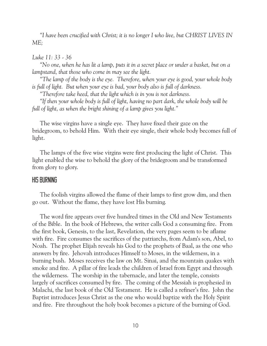*"I have been crucified with Christ; it is no longer I who live, but CHRIST LIVES IN ME;*

#### *Luke 11: 33 - 36*

 *"No one, when he has lit a lamp, puts it in a secret place or under a basket, but on a lampstand, that those who come in may see the light.*

 *"The lamp of the body is the eye. Therefore, when your eye is good, your whole body is full of light. But when your eye is bad, your body also is full of darkness.*

 *"Therefore take heed, that the light which is in you is not darkness.*

 *"If then your whole body is full of light, having no part dark, the whole body will be full of light, as when the bright shining of a lamp gives you light."*

 The wise virgins have a single eye. They have fixed their gaze on the bridegroom, to behold Him. With their eye single, their whole body becomes full of light.

 The lamps of the five wise virgins were first producing the light of Christ. This light enabled the wise to behold the glory of the bridegroom and be transformed from glory to glory.

#### HIS BURNING

 The foolish virgins allowed the flame of their lamps to first grow dim, and then go out. Without the flame, they have lost His burning.

 The word fire appears over five hundred times in the Old and New Testaments of the Bible. In the book of Hebrews, the writer calls God a consuming fire. From the first book, Genesis, to the last, Revelation, the very pages seem to be aflame with fire. Fire consumes the sacrifices of the patriarchs, from Adam's son, Abel, to Noah. The prophet Elijah reveals his God to the prophets of Baal, as the one who answers by fire. Jehovah introduces Himself to Moses, in the wilderness, in a burning bush. Moses receives the law on Mt. Sinai, and the mountain quakes with smoke and fire. A pillar of fire leads the children of Israel from Egypt and through the wilderness. The worship in the tabernacle, and later the temple, consists largely of sacrifices consumed by fire. The coming of the Messiah is prophesied in Malachi, the last book of the Old Testament. He is called a refiner's fire. John the Baptist introduces Jesus Christ as the one who would baptize with the Holy Spirit and fire. Fire throughout the holy book becomes a picture of the burning of God.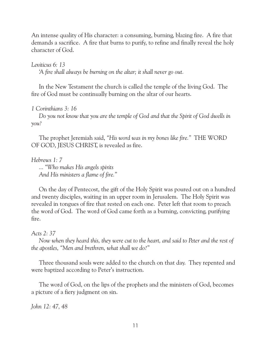An intense quality of His character: a consuming, burning, blazing fire. A fire that demands a sacrifice. A fire that burns to purify, to refine and finally reveal the holy character of God.

*Leviticus 6: 13*

 *'A fire shall always be burning on the altar; it shall never go out.*

 In the New Testament the church is called the temple of the living God. The fire of God must be continually burning on the altar of our hearts.

*1 Corinthians 3: 16*

 *Do you not know that you are the temple of God and that the Spirit of God dwells in you?*

 The prophet Jeremiah said, *"His word was in my bones like fire."* THE WORD OF GOD, JESUS CHRIST, is revealed as fire.

*Hebrews 1: 7*

 *... "Who makes His angels spirits And His ministers a flame of fire."*

 On the day of Pentecost, the gift of the Holy Spirit was poured out on a hundred and twenty disciples, waiting in an upper room in Jerusalem. The Holy Spirit was revealed in tongues of fire that rested on each one. Peter left that room to preach the word of God. The word of God came forth as a burning, convicting, purifying fire.

## *Acts 2: 37*

 *Now when they heard this, they were cut to the heart, and said to Peter and the rest of the apostles, "Men and brethren, what shall we do?"*

 Three thousand souls were added to the church on that day. They repented and were baptized according to Peter's instruction.

 The word of God, on the lips of the prophets and the ministers of God, becomes a picture of a fiery judgment on sin.

*John 12: 47, 48*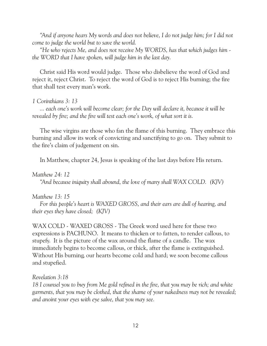*"And if anyone hears My words and does not believe, I do not judge him; for I did not come to judge the world but to save the world.*

 *"He who rejects Me, and does not receive My WORDS, has that which judges him the WORD that I have spoken, will judge him in the last day.*

 Christ said His word would judge. Those who disbelieve the word of God and reject it, reject Christ. To reject the word of God is to reject His burning; the fire that shall test every man's work.

## *1 Corinthians 3: 13*

 *... each one's work will become clear; for the Day will declare it, because it will be revealed by fire; and the fire will test each one's work, of what sort it is.*

 The wise virgins are those who fan the flame of this burning. They embrace this burning and allow its work of convicting and sanctifying to go on. They submit to the fire's claim of judgement on sin.

In Matthew, chapter 24, Jesus is speaking of the last days before His return.

## *Matthew 24: 12*

 *"And because iniquity shall abound, the love of many shall WAX COLD. (KJV)*

## *Matthew 13: 15*

 *For this people's heart is WAXED GROSS, and their ears are dull of hearing, and their eyes they have closed; (KJV)*

WAX COLD - WAXED GROSS - The Greek word used here for these two expressions is PACHUNO. It means to thicken or to fatten, to render callous, to stupefy. It is the picture of the wax around the flame of a candle. The wax immediately begins to become callous, or thick, after the flame is extinguished. Without His burning, our hearts become cold and hard; we soon become callous and stupefied.

*Revelation 3:18* 

*18 I counsel you to buy from Me gold refined in the fire, that you may be rich; and white garments, that you may be clothed, that the shame of your nakedness may not be revealed; and anoint your eyes with eye salve, that you may see.*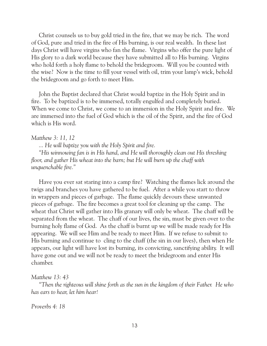Christ counsels us to buy gold tried in the fire, that we may be rich. The word of God, pure and tried in the fire of His burning, is our real wealth. In these last days Christ will have virgins who fan the flame. Virgins who offer the pure light of His glory to a dark world because they have submitted all to His burning. Virgins who hold forth a holy flame to behold the bridegroom. Will you be counted with the wise? Now is the time to fill your vessel with oil, trim your lamp's wick, behold the bridegroom and go forth to meet Him.

 John the Baptist declared that Christ would baptize in the Holy Spirit and in fire. To be baptized is to be immersed, totally engulfed and completely buried. When we come to Christ, we come to an immersion in the Holy Spirit and fire. We are immersed into the fuel of God which is the oil of the Spirit, and the fire of God which is His word.

#### *Matthew 3: 11, 12*

 *... He will baptize you with the Holy Spirit and fire.*

 *"His winnowing fan is in His hand, and He will thoroughly clean out His threshing floor, and gather His wheat into the barn; but He will burn up the chaff with unquenchable fire."*

 Have you ever sat staring into a camp fire? Watching the flames lick around the twigs and branches you have gathered to be fuel. After a while you start to throw in wrappers and pieces of garbage. The flame quickly devours these unwanted pieces of garbage. The fire becomes a great tool for cleaning up the camp. The wheat that Christ will gather into His granary will only be wheat. The chaff will be separated from the wheat. The chaff of our lives, the sin, must be given over to the burning holy flame of God. As the chaff is burnt up we will be made ready for His appearing. We will see Him and be ready to meet Him. If we refuse to submit to His burning and continue to cling to the chaff (the sin in our lives), then when He appears, our light will have lost its burning, its convicting, sanctifying ability. It will have gone out and we will not be ready to meet the bridegroom and enter His chamber.

#### *Matthew 13: 43*

 *"Then the righteous will shine forth as the sun in the kingdom of their Father. He who has ears to hear, let him hear!*

#### *Proverbs 4: 18*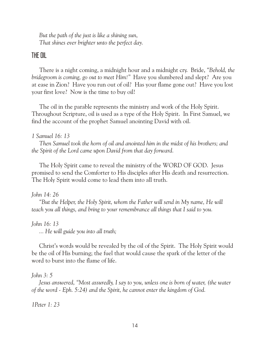*But the path of the just is like a shining sun, That shines ever brighter unto the perfect day.*

## THE OIL

 There is a night coming, a midnight hour and a midnight cry. Bride, *"Behold, the bridegroom is coming, go out to meet Him!"* Have you slumbered and slept? Are you at ease in Zion? Have you run out of oil? Has your flame gone out? Have you lost your first love? Now is the time to buy oil!

 The oil in the parable represents the ministry and work of the Holy Spirit. Throughout Scripture, oil is used as a type of the Holy Spirit. In First Samuel, we find the account of the prophet Samuel anointing David with oil.

## *1 Samuel 16: 13*

 *Then Samuel took the horn of oil and anointed him in the midst of his brothers; and the Spirit of the Lord came upon David from that day forward.*

 The Holy Spirit came to reveal the ministry of the WORD OF GOD. Jesus promised to send the Comforter to His disciples after His death and resurrection. The Holy Spirit would come to lead them into all truth.

## *John 14: 26*

 *"But the Helper, the Holy Spirit, whom the Father will send in My name, He will teach you all things, and bring to your remembrance all things that I said to you.*

*John 16: 13*

 *... He will guide you into all truth;* 

 Christ's words would be revealed by the oil of the Spirit. The Holy Spirit would be the oil of His burning; the fuel that would cause the spark of the letter of the word to burst into the flame of life.

## *John 3: 5*

 *Jesus answered, "Most assuredly, I say to you, unless one is born of water, (the water of the word - Eph. 5:24) and the Spirit, he cannot enter the kingdom of God.*

*1Peter 1: 23*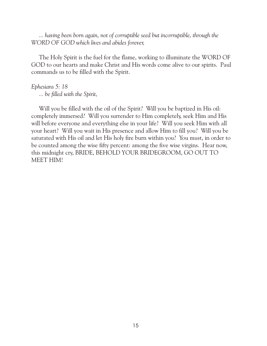*... having been born again, not of corruptible seed but incorruptible, through the WORD OF GOD which lives and abides forever,*

 The Holy Spirit is the fuel for the flame, working to illuminate the WORD OF GOD to our hearts and make Christ and His words come alive to our spirits. Paul commands us to be filled with the Spirit.

# *Ephesians 5: 18*

 *... be filled with the Spirit,*

 Will you be filled with the oil of the Spirit? Will you be baptized in His oil: completely immersed? Will you surrender to Him completely, seek Him and His will before everyone and everything else in your life? Will you seek Him with all your heart? Will you wait in His presence and allow Him to fill you? Will you be saturated with His oil and let His holy fire burn within you? You must, in order to be counted among the wise fifty percent: among the five wise virgins. Hear now, this midnight cry, BRIDE, BEHOLD YOUR BRIDEGROOM, GO OUT TO MEET HIM!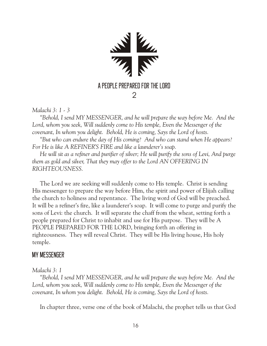

*Malachi 3: 1 - 3*

 *"Behold, I send MY MESSENGER, and he will prepare the way before Me. And the Lord, whom you seek, Will suddenly come to His temple, Even the Messenger of the covenant, In whom you delight. Behold, He is coming, Says the Lord of hosts.*

 *"But who can endure the day of His coming? And who can stand when He appears? For He is like A REFINER'S FIRE and like a launderer's soap.*

 *He will sit as a refiner and purifier of silver; He will purify the sons of Levi, And purge them as gold and silver, That they may offer to the Lord AN OFFERING IN RIGHTEOUSNESS.*

 The Lord we are seeking will suddenly come to His temple. Christ is sending His messenger to prepare the way before Him, the spirit and power of Elijah calling the church to holiness and repentance. The living word of God will be preached. It will be a refiner's fire, like a launderer's soap. It will come to purge and purify the sons of Levi: the church. It will separate the chaff from the wheat, setting forth a people prepared for Christ to inhabit and use for His purpose. They will be A PEOPLE PREPARED FOR THE LORD, bringing forth an offering in righteousness. They will reveal Christ. They will be His living house, His holy temple.

## MY MESSENGER

## *Malachi 3: 1*

 *"Behold, I send MY MESSENGER, and he will prepare the way before Me. And the*  Lord, whom you seek, Will suddenly come to His temple, Even the Messenger of the *covenant, In whom you delight. Behold, He is coming, Says the Lord of hosts.*

In chapter three, verse one of the book of Malachi, the prophet tells us that God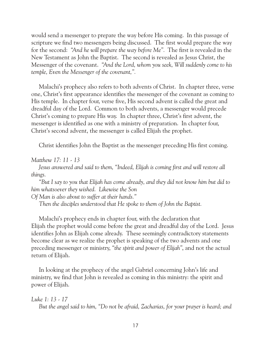would send a messenger to prepare the way before His coming. In this passage of scripture we find two messengers being discussed. The first would prepare the way for the second: *"And he will prepare the way before Me".* The first is revealed in the New Testament as John the Baptist. The second is revealed as Jesus Christ, the Messenger of the covenant. *"And the Lord, whom you seek, Will suddenly come to his temple, Even the Messenger of the covenant,".*

 Malachi's prophecy also refers to both advents of Christ. In chapter three, verse one, Christ's first appearance identifies the messenger of the covenant as coming to His temple. In chapter four, verse five, His second advent is called the great and dreadful day of the Lord. Common to both advents, a messenger would precede Christ's coming to prepare His way. In chapter three, Christ's first advent, the messenger is identified as one with a ministry of preparation. In chapter four, Christ's second advent, the messenger is called Elijah the prophet.

Christ identifies John the Baptist as the messenger preceding His first coming.

*Matthew 17: 11 - 13*

 *Jesus answered and said to them, "Indeed, Elijah is coming first and will restore all things.*

 *"But I say to you that Elijah has come already, and they did not know him but did to him whatsoever they wished. Likewise the Son*

*Of Man is also about to suffer at their hands."*

 *Then the disciples understood that He spoke to them of John the Baptist.*

 Malachi's prophecy ends in chapter four, with the declaration that Elijah the prophet would come before the great and dreadful day of the Lord. Jesus identifies John as Elijah come already. These seemingly contradictory statements become clear as we realize the prophet is speaking of the two advents and one preceding messenger or ministry, *"the spirit and power of Elijah"*, and not the actual return of Elijah.

 In looking at the prophecy of the angel Gabriel concerning John's life and ministry, we find that John is revealed as coming in this ministry: the spirit and power of Elijah.

*Luke 1: 13 - 17 But the angel said to him, "Do not be afraid, Zacharias, for your prayer is heard; and*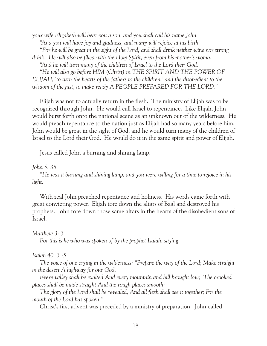*your wife Elizabeth will bear you a son, and you shall call his name John. "And you will have joy and gladness, and many will rejoice at his birth. "For he will be great in the sight of the Lord, and shall drink neither wine nor strong drink. He will also be filled with the Holy Spirit, even from his mother's womb. "And he will turn many of the children of Israel to the Lord their God. "He will also go before HIM (Christ) in THE SPIRIT AND THE POWER OF ELIJAH, 'to turn the hearts of the fathers to the children,' and the disobedient to the* 

*wisdom of the just, to make ready A PEOPLE PREPARED FOR THE LORD."*

 Elijah was not to actually return in the flesh. The ministry of Elijah was to be recognized through John. He would call Israel to repentance. Like Elijah, John would burst forth onto the national scene as an unknown out of the wilderness. He would preach repentance to the nation just as Elijah had so many years before him. John would be great in the sight of God, and he would turn many of the children of Israel to the Lord their God. He would do it in the same spirit and power of Elijah.

Jesus called John a burning and shining lamp.

## *John 5: 35*

 *"He was a burning and shining lamp, and you were willing for a time to rejoice in his light.*

 With zeal John preached repentance and holiness. His words came forth with great convicting power. Elijah tore down the altars of Baal and destroyed his prophets. John tore down those same altars in the hearts of the disobedient sons of Israel.

## *Matthew 3: 3*

 *For this is he who was spoken of by the prophet Isaiah, saying:*

## *Isaiah 40: 3 -5*

 *The voice of one crying in the wilderness: "Prepare the way of the Lord; Make straight in the desert A highway for our God.*

 *Every valley shall be exalted And every mountain and hill brought low; The crooked places shall be made straight And the rough places smooth;*

 *The glory of the Lord shall be revealed, And all flesh shall see it together; For the mouth of the Lord has spoken."*

Christ's first advent was preceded by a ministry of preparation. John called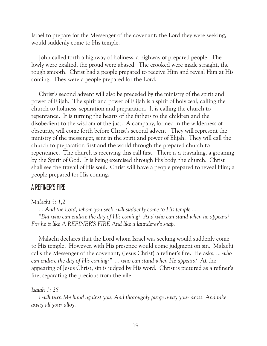Israel to prepare for the Messenger of the covenant: the Lord they were seeking, would suddenly come to His temple.

 John called forth a highway of holiness, a highway of prepared people. The lowly were exalted, the proud were abased. The crooked were made straight, the rough smooth. Christ had a people prepared to receive Him and reveal Him at His coming. They were a people prepared for the Lord.

 Christ's second advent will also be preceded by the ministry of the spirit and power of Elijah. The spirit and power of Elijah is a spirit of holy zeal, calling the church to holiness, separation and preparation. It is calling the church to repentance. It is turning the hearts of the fathers to the children and the disobedient to the wisdom of the just. A company, formed in the wilderness of obscurity, will come forth before Christ's second advent. They will represent the ministry of the messenger, sent in the spirit and power of Elijah. They will call the church to preparation first and the world through the prepared church to repentance. The church is receiving this call first. There is a travailing, a groaning by the Spirit of God. It is being exercised through His body, the church. Christ shall see the travail of His soul. Christ will have a people prepared to reveal Him; a people prepared for His coming.

## A REFINER'S FIRE

## *Malachi 3: 1,2*

 *... And the Lord, whom you seek, will suddenly come to His temple ... "But who can endure the day of His coming? And who can stand when he appears? For he is like A REFINER'S FIRE And like a launderer's soap.*

 Malachi declares that the Lord whom Israel was seeking would suddenly come to His temple. However, with His presence would come judgment on sin. Malachi calls the Messenger of the covenant, (Jesus Christ) a refiner's fire. He asks, *... who can endure the day of His coming?" ... who can stand when He appears?* At the appearing of Jesus Christ, sin is judged by His word. Christ is pictured as a refiner's fire, separating the precious from the vile.

#### *Isaiah 1: 25*

 *I will turn My hand against you, And thoroughly purge away your dross, And take away all your alloy.*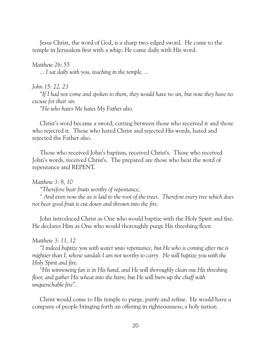Jesus Christ, the word of God, is a sharp two-edged sword. He came to the temple in Jerusalem first with a whip; He came daily with His word.

#### *Matthew 26: 55*

 *... I sat daily with you, teaching in the temple, ...*

#### *John 15: 22, 23*

 *"If I had not come and spoken to them, they would have no sin, but now they have no excuse for their sin.*

 *"He who hates Me hates My Father also.*

 Christ's word became a sword, cutting between those who received it and those who rejected it. Those who hated Christ and rejected His words, hated and rejected the Father also.

 Those who received John's baptism, received Christ's. Those who received John's words, received Christ's. The prepared are those who hear the word of repentance and REPENT.

*Matthew 3: 8, 10*

 *"Therefore bear fruits worthy of repentance,*

 *" And even now the ax is laid to the root of the trees. Therefore every tree which does not bear good fruit is cut down and thrown into the fire.*

 John introduced Christ as One who would baptize with the Holy Spirit and fire. He declares Him as One who would thoroughly purge His threshing floor.

#### *Matthew 3: 11, 12*

 *"I indeed baptize you with water unto repentance, but He who is coming after me is mightier than I, whose sandals I am not worthy to carry. He will baptize you with the Holy Spirit and fire.*

 *"His winnowing fan is in His hand, and He will thoroughly clean out His threshing floor, and gather His wheat into the barn; but He will burn up the chaff with unquenchable fire".*

 Christ would come to His temple to purge, purify and refine. He would have a company of people bringing forth an offering in righteousness; a holy nation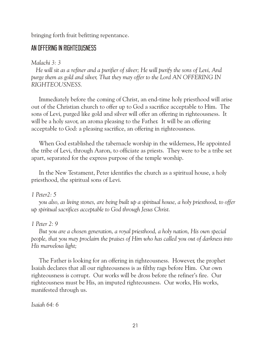bringing forth fruit befitting repentance.

## AN OFFERING IN RIGHTEOUSNESS

## *Malachi 3: 3*

 *He will sit as a refiner and a purifier of silver; He will purify the sons of Levi, And purge them as gold and silver, That they may offer to the Lord AN OFFERING IN RIGHTEOUSNESS.*

 Immediately before the coming of Christ, an end-time holy priesthood will arise out of the Christian church to offer up to God a sacrifice acceptable to Him. The sons of Levi, purged like gold and silver will offer an offering in righteousness. It will be a holy savor, an aroma pleasing to the Father. It will be an offering acceptable to God: a pleasing sacrifice, an offering in righteousness.

 When God established the tabernacle worship in the wilderness, He appointed the tribe of Levi, through Aaron, to officiate as priests. They were to be a tribe set apart, separated for the express purpose of the temple worship.

 In the New Testament, Peter identifies the church as a spiritual house, a holy priesthood, the spiritual sons of Levi.

## *1 Peter2: 5*

 *you also, as living stones, are being built up a spiritual house, a holy priesthood, to offer up spiritual sacrifices acceptable to God through Jesus Christ.*

## *1 Peter 2: 9*

 *But you are a chosen generation, a royal priesthood, a holy nation, His own special people, that you may proclaim the praises of Him who has called you out of darkness into His marvelous light;*

 The Father is looking for an offering in righteousness. However, the prophet Isaiah declares that all our righteousness is as filthy rags before Him. Our own righteousness is corrupt. Our works will be dross before the refiner's fire. Our righteousness must be His, an imputed righteousness. Our works, His works, manifested through us.

*Isaiah 64: 6*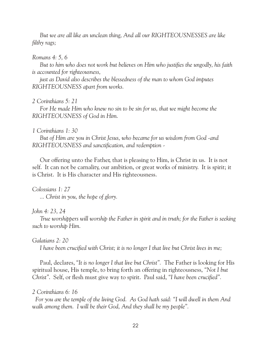*But we are all like an unclean thing, And all our RIGHTEOUSNESSES are like filthy rags;*

#### *Romans 4: 5, 6*

 *But to him who does not work but believes on Him who justifies the ungodly, his faith is accounted for righteousness,*

 *just as David also describes the blessedness of the man to whom God imputes RIGHTEOUSNESS apart from works.*

#### *2 Corinthians 5: 21*

 *For He made Him who knew no sin to be sin for us, that we might become the RIGHTEOUSNESS of God in Him.*

#### *1 Corinthians 1: 30*

 *But of Him are you in Christ Jesus, who became for us wisdom from God -and RIGHTEOUSNESS and sanctification, and redemption -*

 Our offering unto the Father, that is pleasing to Him, is Christ in us. It is not self. It can not be carnality, our ambition, or great works of ministry. It is spirit; it is Christ. It is His character and His righteousness.

*Colossians 1: 27 ... Christ in you, the hope of glory.*

## *John 4: 23, 24*

 *True worshippers will worship the Father in spirit and in truth; for the Father is seeking such to worship Him.*

*Galatians 2: 20*

 *I have been crucified with Christ; it is no longer I that live but Christ lives in me;*

 Paul, declares, *"It is no longer I that live but Christ".* The Father is looking for His spiritual house, His temple, to bring forth an offering in righteousness, *"Not I but Christ"*. Self, or flesh must give way to spirit. Paul said, *"I have been crucified".*

## *2 Corinthians 6: 16*

 *For you are the temple of the living God. As God hath said: "I will dwell in them And walk among them. I will be their God, And they shall be my people".*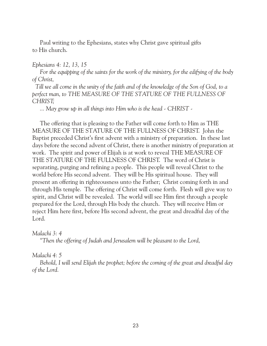Paul writing to the Ephesians, states why Christ gave spiritual gifts to His church.

#### *Ephesians 4: 12, 13, 15*

 *For the equipping of the saints for the work of the ministry, for the edifying of the body of Christ,*

 *Till we all come in the unity of the faith and of the knowledge of the Son of God, to a perfect man, to THE MEASURE OF THE STATURE OF THE FULLNESS OF CHRIST;*

 *... May grow up in all things into Him who is the head - CHRIST -*

 The offering that is pleasing to the Father will come forth to Him as THE MEASURE OF THE STATURE OF THE FULLNESS OF CHRIST. John the Baptist preceded Christ's first advent with a ministry of preparation. In these last days before the second advent of Christ, there is another ministry of preparation at work. The spirit and power of Elijah is at work to reveal THE MEASURE OF THE STATURE OF THE FULLNESS OF CHRIST. The word of Christ is separating, purging and refining a people. This people will reveal Christ to the world before His second advent. They will be His spiritual house. They will present an offering in righteousness unto the Father; Christ coming forth in and through His temple. The offering of Christ will come forth. Flesh will give way to spirit, and Christ will be revealed. The world will see Him first through a people prepared for the Lord, through His body the church. They will receive Him or reject Him here first, before His second advent, the great and dreadful day of the Lord.

## *Malachi 3: 4*

 *"Then the offering of Judah and Jerusalem will be pleasant to the Lord,*

## *Malachi 4: 5*

 *Behold, I will send Elijah the prophet; before the coming of the great and dreadful day of the Lord.*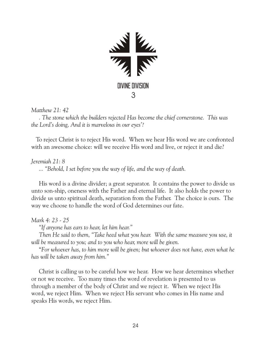

*Matthew 21: 42*

 *. The stone which the builders rejected Has become the chief cornerstone. This was the Lord's doing, And it is marvelous in our eyes'?*

 To reject Christ is to reject His word. When we hear His word we are confronted with an awesome choice: will we receive His word and live, or reject it and die?

*Jeremiah 21: 8*

 *... "Behold, I set before you the way of life, and the way of death.*

 His word is a divine divider; a great separator. It contains the power to divide us unto son-ship, oneness with the Father and eternal life. It also holds the power to divide us unto spiritual death, separation from the Father. The choice is ours. The way we choose to handle the word of God determines our fate.

## *Mark 4: 23 - 25*

 *"If anyone has ears to hear, let him hear."*

 *Then He said to them, "Take heed what you hear. With the same measure you use, it will be measured to you; and to you who hear, more will be given.*

 "*For whoever has, to him more will be given; but whoever does not have, even what he has will be taken away from him."*

 Christ is calling us to be careful how we hear. How we hear determines whether or not we receive. Too many times the word of revelation is presented to us through a member of the body of Christ and we reject it. When we reject His word, we reject Him. When we reject His servant who comes in His name and speaks His words, we reject Him.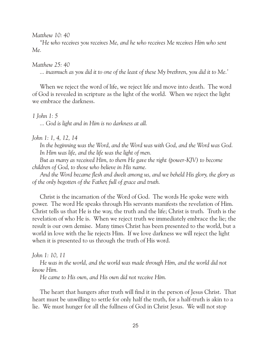*Matthew 10: 40*

 *"He who receives you receives Me, and he who receives Me receives Him who sent Me.*

*Matthew 25: 40*

 *... inasmuch as you did it to one of the least of these My brethren, you did it to Me.'*

 When we reject the word of life, we reject life and move into death. The word of God is revealed in scripture as the light of the world. When we reject the light we embrace the darkness.

*1 John 1: 5*

 *... God is light and in Him is no darkness at all.*

#### *John 1: 1, 4, 12, 14*

 *In the beginning was the Word, and the Word was with God, and the Word was God. In Him was life, and the life was the light of men.*

 *But as many as received Him, to them He gave the right (power-KJV) to become children of God, to those who believe in His name.*

 *And the Word became flesh and dwelt among us, and we beheld His glory, the glory as of the only begotten of the Father, full of grace and truth.*

 Christ is the incarnation of the Word of God. The words He spoke were with power. The word He speaks through His servants manifests the revelation of Him. Christ tells us that He is the way, the truth and the life; Christ is truth. Truth is the revelation of who He is. When we reject truth we immediately embrace the lie; the result is our own demise. Many times Christ has been presented to the world, but a world in love with the lie rejects Him. If we love darkness we will reject the light when it is presented to us through the truth of His word.

#### *John 1: 10, 11*

 *He was in the world, and the world was made through Him, and the world did not know Him.*

 *He came to His own, and His own did not receive Him.*

 The heart that hungers after truth will find it in the person of Jesus Christ. That heart must be unwilling to settle for only half the truth, for a half-truth is akin to a lie. We must hunger for all the fullness of God in Christ Jesus. We will not stop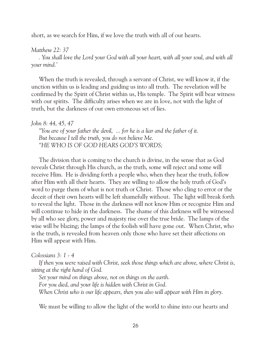short, as we search for Him, if we love the truth with all of our hearts.

## *Matthew 22: 37*

 *. You shall love the Lord your God with all your heart, with all your soul, and with all your mind.'*

 When the truth is revealed, through a servant of Christ, we will know it, if the unction within us is leading and guiding us into all truth. The revelation will be confirmed by the Spirit of Christ within us, His temple. The Spirit will bear witness with our spirits. The difficulty arises when we are in love, not with the light of truth, but the darkness of our own erroneous set of lies.

## *John 8: 44, 45, 47*

 *"You are of your father the devil, ... for he is a liar and the father of it. But because I tell the truth, you do not believe Me. "HE WHO IS OF GOD HEARS GOD'S WORDS;*

 The division that is coming to the church is divine, in the sense that as God reveals Christ through His church, as the truth, some will reject and some will receive Him. He is dividing forth a people who, when they hear the truth, follow after Him with all their hearts. They are willing to allow the holy truth of God's word to purge them of what is not truth or Christ. Those who cling to error or the deceit of their own hearts will be left shamefully without. The light will break forth to reveal the light. Those in the darkness will not know Him or recognize Him and will continue to hide in the darkness. The shame of this darkness will be witnessed by all who see glory, power and majesty rise over the true bride. The lamps of the wise will be blazing; the lamps of the foolish will have gone out. When Christ, who is the truth, is revealed from heaven only those who have set their affections on Him will appear with Him.

## *Colossians 3: 1 - 4*

 *If then you were raised with Christ, seek those things which are above, where Christ is, sitting at the right hand of God.*

 *Set your mind on things above, not on things on the earth. For you died, and your life is hidden with Christ in God. When Christ who is our life appears, then you also will appear with Him in glory.*

We must be willing to allow the light of the world to shine into our hearts and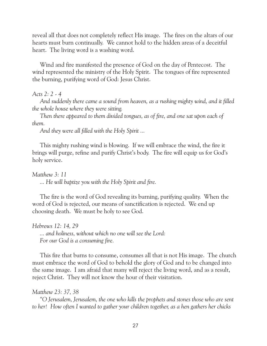reveal all that does not completely reflect His image. The fires on the altars of our hearts must burn continually. We cannot hold to the hidden areas of a deceitful heart. The living word is a washing word.

 Wind and fire manifested the presence of God on the day of Pentecost. The wind represented the ministry of the Holy Spirit. The tongues of fire represented the burning, purifying word of God: Jesus Christ.

## *Acts 2: 2 - 4*

 *And suddenly there came a sound from heaven, as a rushing mighty wind, and it filled the whole house where they were sitting.* 

*Then there appeared to them divided tongues, as of fire, and one sat upon each of them.*

 *And they were all filled with the Holy Spirit ...*

 This mighty rushing wind is blowing. If we will embrace the wind, the fire it brings will purge, refine and purify Christ's body. The fire will equip us for God's holy service.

*Matthew 3: 11 ... He will baptize you with the Holy Spirit and fire.*

 The fire is the word of God revealing its burning, purifying quality. When the word of God is rejected, our means of sanctification is rejected. We end up choosing death. We must be holy to see God.

*Hebrews 12: 14, 29 ... and holiness, without which no one will see the Lord: For our God is a consuming fire.*

 This fire that burns to consume, consumes all that is not His image. The church must embrace the word of God to behold the glory of God and to be changed into the same image. I am afraid that many will reject the living word, and as a result, reject Christ. They will not know the hour of their visitation.

## *Matthew 23: 37, 38*

 *"O Jerusalem, Jerusalem, the one who kills the prophets and stones those who are sent to her! How often I wanted to gather your children together, as a hen gathers her chicks*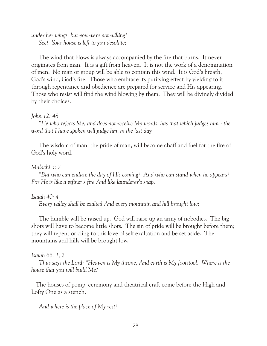*under her wings, but you were not willing! See! Your house is left to you desolate;*

 The wind that blows is always accompanied by the fire that burns. It never originates from man. It is a gift from heaven. It is not the work of a denomination of men. No man or group will be able to contain this wind. It is God's breath, God's wind, God's fire. Those who embrace its purifying effect by yielding to it through repentance and obedience are prepared for service and His appearing. Those who resist will find the wind blowing by them. They will be divinely divided by their choices.

## *John 12: 48*

 *"He who rejects Me, and does not receive My words, has that which judges him - the word that I have spoken will judge him in the last day.*

 The wisdom of man, the pride of man, will become chaff and fuel for the fire of God's holy word.

## *Malachi 3: 2*

 *"But who can endure the day of His coming? And who can stand when he appears? For He is like a refiner's fire And like launderer's soap.*

## *Isaiah 40: 4*

 *Every valley shall be exalted And every mountain and hill brought low;*

 The humble will be raised up. God will raise up an army of nobodies. The big shots will have to become little shots. The sin of pride will be brought before them; they will repent or cling to this love of self exaltation and be set aside. The mountains and hills will be brought low.

## *Isaiah 66: 1, 2*

 *Thus says the Lord: "Heaven is My throne, And earth is My footstool. Where is the house that you will build Me?*

 The houses of pomp, ceremony and theatrical craft come before the High and Lofty One as a stench.

*And where is the place of My rest?*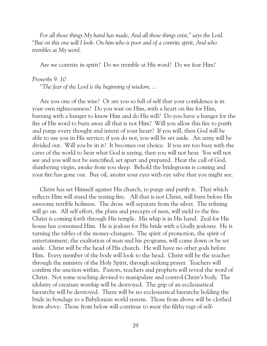*For all those things My hand has made, And all those things exist," says the Lord.*  "*But on this one will I look: On him who is poor and of a contrite spirit, And who trembles at My word.*

Are we contrite in spirit? Do we tremble at His word? Do we fear Him?

#### *Proverbs 9: 10*

 *"The fear of the Lord is the beginning of wisdom, ...*

 Are you one of the wise? Or are you so full of self that your confidence is in your own righteousness? Do you wait on Him, with a heart on fire for Him, burning with a hunger to know Him and do His will? Do you have a hunger for the fire of His word to burn away all that is not Him? Will you allow this fire to purify and purge every thought and intent of your heart? If you will, then God will be able to use you in His service; if you do not, you will be set aside. An army will be divided out. Will you be in it? It becomes our choice. If you are too busy with the cares of the world to hear what God is saying, then you will not hear. You will not see and you will not be sanctified, set apart and prepared. Hear the call of God, slumbering virgin, awake from you sleep. Behold the bridegroom is coming and your fire has gone out. Buy oil, anoint your eyes with eye salve that you might see.

 Christ has set Himself against His church, to purge and purify it. That which reflects Him will stand the testing fire. All that is not Christ, will burn before His awesome terrible holiness. The dross will separate from the silver. The refining will go on. All self effort, the plans and precepts of men, will yield to the fire. Christ is coming forth through His temple. His whip is in His hand. Zeal for His house has consumed Him. He is jealous for His bride with a Godly jealousy. He is turning the tables of the money-changers. The spirit of promotion, the spirit of entertainment, the exaltation of man and his programs, will come down or be set aside. Christ will be the head of His church. He will have no other gods before Him. Every member of the body will look to the head. Christ will be the teacher through the ministry of the Holy Spirit, through seeking prayer. Teachers will confirm the unction within. Pastors, teachers and prophets will reveal the word of Christ. Not some teaching devised to manipulate and control Christ's body. The idolatry of creature worship will be destroyed. The grip of an ecclesiastical hierarchy will be destroyed. There will be no ecclesiastical hierarchy holding the bride in bondage to a Babylonian world system. Those from above will be clothed from above. Those from below will continue to wear the filthy rags of self-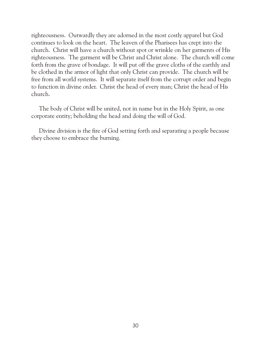righteousness. Outwardly they are adorned in the most costly apparel but God continues to look on the heart. The leaven of the Pharisees has crept into the church. Christ will have a church without spot or wrinkle on her garments of His righteousness. The garment will be Christ and Christ alone. The church will come forth from the grave of bondage. It will put off the grave cloths of the earthly and be clothed in the armor of light that only Christ can provide. The church will be free from all world systems. It will separate itself from the corrupt order and begin to function in divine order. Christ the head of every man; Christ the head of His church.

 The body of Christ will be united, not in name but in the Holy Spirit, as one corporate entity; beholding the head and doing the will of God.

 Divine division is the fire of God setting forth and separating a people because they choose to embrace the burning.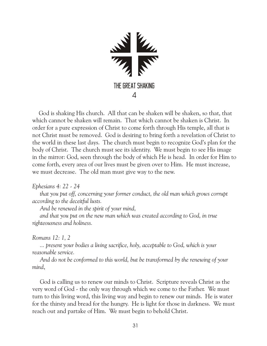

 God is shaking His church. All that can be shaken will be shaken, so that, that which cannot be shaken will remain. That which cannot be shaken is Christ. In order for a pure expression of Christ to come forth through His temple, all that is not Christ must be removed. God is desiring to bring forth a revelation of Christ to the world in these last days. The church must begin to recognize God's plan for the body of Christ. The church must see its identity. We must begin to see His image in the mirror: God, seen through the body of which He is head. In order for Him to come forth, every area of our lives must be given over to Him. He must increase, we must decrease. The old man must give way to the new.

*Ephesians 4: 22 - 24*

 *that you put off, concerning your former conduct, the old man which grows corrupt according to the deceitful lusts.*

 *And be renewed in the spirit of your mind,*

 *and that you put on the new man which was created according to God, in true righteousness and holiness.*

## *Romans 12: 1, 2*

 *... present your bodies a living sacrifice, holy, acceptable to God, which is your reasonable service.*

 *And do not be conformed to this world, but be transformed by the renewing of your mind*,

 God is calling us to renew our minds to Christ. Scripture reveals Christ as the very word of God - the only way through which we come to the Father. We must turn to this living word, this living way and begin to renew our minds. He is water for the thirsty and bread for the hungry. He is light for those in darkness. We must reach out and partake of Him. We must begin to behold Christ.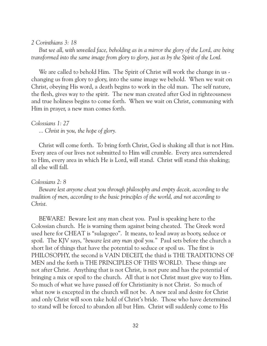#### *2 Corinthians 3: 18*

 *But we all, with unveiled face, beholding as in a mirror the glory of the Lord, are being transformed into the same image from glory to glory, just as by the Spirit of the Lord.*

 We are called to behold Him. The Spirit of Christ will work the change in us changing us from glory to glory, into the same image we behold. When we wait on Christ, obeying His word, a death begins to work in the old man. The self nature, the flesh, gives way to the spirit. The new man created after God in righteousness and true holiness begins to come forth. When we wait on Christ, communing with Him in prayer, a new man comes forth.

## *Colossians 1: 27*

 *... Christ in you, the hope of glory.*

 Christ will come forth. To bring forth Christ, God is shaking all that is not Him. Every area of our lives not submitted to Him will crumble. Every area surrendered to Him, every area in which He is Lord, will stand. Christ will stand this shaking; all else will fall.

## *Colossians 2: 8*

 *Beware lest anyone cheat you through philosophy and empty deceit, according to the tradition of men, according to the basic principles of the world, and not according to Christ.*

 BEWARE! Beware lest any man cheat you. Paul is speaking here to the Colossian church. He is warning them against being cheated. The Greek word used here for CHEAT is "sulagogeo". It means, to lead away as booty, seduce or spoil. The KJV says, *"beware lest any man spoil you."* Paul sets before the church a short list of things that have the potential to seduce or spoil us. The first is PHILOSOPHY, the second is VAIN DECEIT, the third is THE TRADITIONS OF MEN and the forth is THE PRINCIPLES OF THIS WORLD. These things are not after Christ. Anything that is not Christ, is not pure and has the potential of bringing a mix or spoil to the church. All that is not Christ must give way to Him. So much of what we have passed off for Christianity is not Christ. So much of what now is excepted in the church will not be. A new zeal and desire for Christ and only Christ will soon take hold of Christ's bride. Those who have determined to stand will be forced to abandon all but Him. Christ will suddenly come to His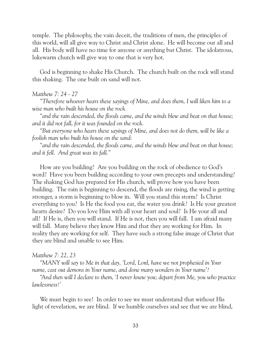temple. The philosophy, the vain deceit, the traditions of men, the principles of this world, will all give way to Christ and Christ alone. He will become our all and all. His body will have no time for anyone or anything but Christ. The idolatrous, lukewarm church will give way to one that is very hot.

 God is beginning to shake His Church. The church built on the rock will stand this shaking. The one built on sand will not.

#### *Matthew 7: 24 - 27*

 *"Therefore whoever hears these sayings of Mine, and does them, I will liken him to a wise man who built his house on the rock.*

 *"and the rain descended, the floods came, and the winds blew and beat on that house; and it did not fall, for it was founded on the rock.*

 *"But everyone who hears these sayings of Mine, and does not do them, will be like a foolish man who built his house on the sand:*

 *"and the rain descended, the floods came, and the winds blew and beat on that house; and it fell. And great was its fall."*

 How are you building? Are you building on the rock of obedience to God's word? Have you been building according to your own precepts and understanding? The shaking God has prepared for His church, will prove how you have been building. The rain is beginning to descend, the floods are rising, the wind is getting stronger, a storm is beginning to blow in. Will you stand this storm? Is Christ everything to you? Is He the food you eat, the water you drink? Is He your greatest hearts desire? Do you love Him with all your heart and soul? Is He your all and all? If He is, then you will stand. If He is not, then you will fall. I am afraid many will fall. Many believe they know Him and that they are working for Him. In reality they are working for self. They have such a strong false image of Christ that they are blind and unable to see Him.

#### *Matthew 7: 22, 23*

 *"MANY will say to Me in that day, 'Lord, Lord, have we not prophesied in Your name, cast out demons in Your name, and done many wonders in Your name'?*

 *"And then will I declare to them, 'I never knew you; depart from Me, you who practice lawlessness!'*

 We must begin to see! In order to see we must understand that without His light of revelation, we are blind. If we humble ourselves and see that we are blind,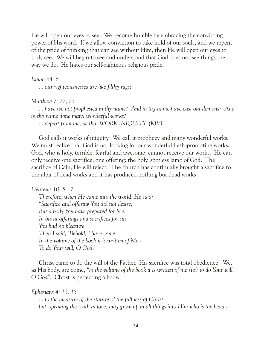He will open our eyes to see. We become humble by embracing the convicting power of His word. If we allow conviction to take hold of our souls, and we repent of the pride of thinking that can see without Him, then He will open our eyes to truly see. We will begin to see and understand that God does not see things the way we do. He hates our self-righteous religious pride.

## *Isaiah 64: 6*

 *... our righteousnesses are like filthy rags;*

## *Matthew 7: 22, 23*

 *... have we not prophesied in thy name? And in thy name have cast out demons? And in thy name done many wonderful works?* 

 *... depart from me, ye that WORK INIQUITY. (KJV)*

 God calls it works of iniquity. We call it prophecy and many wonderful works. We must realize that God is not looking for our wonderful flesh-promoting works. God, who is holy, terrible, fearful and awesome, cannot receive our works. He can only receive one sacrifice, one offering: the holy, spotless lamb of God. The sacrifice of Cain, He will reject. The church has continually brought a sacrifice to the altar of dead works and it has produced nothing but dead works.

```
Hebrews 10: 5 - 7
```
 *Therefore, when He came into the world, He said: "Sacrifice and offering You did not desire, But a body You have prepared for Me. In burnt offerings and sacrifices for sin You had no pleasure. Then I said; 'Behold, I have come - In the volume of the book it is written of Me - To do Your will, O God.'*

 Christ came to do the will of the Father. His sacrifice was total obedience. We, as His body, are come, *"in the volume of the book it is written of me (us) to do Your will, O God".* Christ is perfecting a body.

*Ephesians 4: 13, 15*

 *... to the measure of the stature of the fullness of Christ; but, speaking the truth in love, may grow up in all things into Him who is the head -*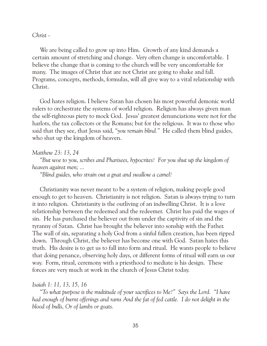#### *Christ -*

 We are being called to grow up into Him. Growth of any kind demands a certain amount of stretching and change. Very often change is uncomfortable. I believe the change that is coming to the church will be very uncomfortable for many. The images of Christ that are not Christ are going to shake and fall. Programs, concepts, methods, formulas, will all give way to a vital relationship with Christ.

 God hates religion. I believe Satan has chosen his most powerful demonic world rulers to orchestrate the systems of world religion. Religion has always given man the self-righteous piety to mock God. Jesus' greatest denunciations were not for the harlots, the tax collectors or the Romans; but for the religious. It was to those who said that they see, that Jesus said, *"you remain blind."* He called them blind guides, who shut up the kingdom of heaven.

#### *Matthew 23: 13, 24*

 *"But woe to you, scribes and Pharisees, hypocrites! For you shut up the kingdom of heaven against men; ...*

 *"Blind guides, who strain out a gnat and swallow a camel!*

 Christianity was never meant to be a system of religion, making people good enough to get to heaven. Christianity is not religion. Satan is always trying to turn it into religion. Christianity is the outliving of an indwelling Christ. It is a love relationship between the redeemed and the redeemer. Christ has paid the wages of sin. He has purchased the believer out from under the captivity of sin and the tyranny of Satan. Christ has brought the believer into sonship with the Father. The wall of sin, separating a holy God from a sinful fallen creation, has been ripped down. Through Christ, the believer has become one with God. Satan hates this truth. His desire is to get us to fall into form and ritual. He wants people to believe that doing penance, observing holy days, or different forms of ritual will earn us our way. Form, ritual, ceremony with a priesthood to mediate is his design. These forces are very much at work in the church of Jesus Christ today.

#### *Isaiah 1: 11, 13, 15, 16*

 *"To what purpose is the multitude of your sacrifices to Me?" Says the Lord. "I have had enough of burnt offerings and rams And the fat of fed cattle. I do not delight in the blood of bulls, Or of lambs or goats.*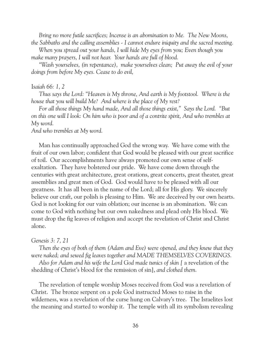*Bring no more futile sacrifices; Incense is an abomination to Me. The New Moons, the Sabbaths and the calling assemblies - I cannot endure iniquity and the sacred meeting.*

 *When you spread out your hands, I will hide My eyes from you; Even though you make many prayers, I will not hear. Your hands are full of blood.*

 *"Wash yourselves, (in repentance), make yourselves clean; Put away the evil of your doings from before My eyes. Cease to do evil,*

#### I*saiah 66: 1, 2*

 *Thus says the Lord: "Heaven is My throne, And earth is My footstool. Where is the house that you will build Me? And where is the place of My rest?*

 *For all those things My hand made, And all those things exist," Says the Lord. "But on this one will I look: On him who is poor and of a contrite spirit, And who trembles at My word.*

*And who trembles at My word.*

 Man has continually approached God the wrong way. We have come with the fruit of our own labor; confident that God would be pleased with our great sacrifice of toil. Our accomplishments have always promoted our own sense of selfexaltation. They have bolstered our pride. We have come down through the centuries with great architecture, great orations, great concerts, great theater, great assemblies and great men of God. God would have to be pleased with all our greatness. It has all been in the name of the Lord; all for His glory. We sincerely believe our craft, our polish is pleasing to Him. We are deceived by our own hearts. God is not looking for our vain oblation; our incense is an abomination. We can come to God with nothing but our own nakedness and plead only His blood. We must drop the fig leaves of religion and accept the revelation of Christ and Christ alone.

#### *Genesis 3: 7, 21*

 *Then the eyes of both of them (Adam and Eve) were opened, and they knew that they were naked; and sewed fig leaves together and MADE THEMSELVES COVERINGS.*

 *Also for Adam and his wife the Lord God made tunics of skin [* a revelation of the shedding of Christ's blood for the remission of sin], *and clothed them.*

 The revelation of temple worship Moses received from God was a revelation of Christ. The bronze serpent on a pole God instructed Moses to raise in the wilderness, was a revelation of the curse hung on Calvary's tree. The Israelites lost the meaning and started to worship it. The temple with all its symbolism revealing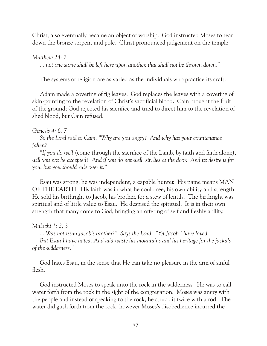Christ, also eventually became an object of worship. God instructed Moses to tear down the bronze serpent and pole. Christ pronounced judgement on the temple.

#### *Matthew 24: 2*

*... not one stone shall be left here upon another, that shall not be thrown down."*

The systems of religion are as varied as the individuals who practice its craft.

 Adam made a covering of fig leaves. God replaces the leaves with a covering of skin-pointing to the revelation of Christ's sacrificial blood. Cain brought the fruit of the ground; God rejected his sacrifice and tried to direct him to the revelation of shed blood, but Cain refused.

### *Genesis 4: 6, 7*

 *So the Lord said to Cain, "Why are you angry? And why has your countenance fallen?*

 *"If you do well* (come through the sacrifice of the Lamb, by faith and faith alone), *will you not be accepted? And if you do not well, sin lies at the door. And its desire is for you, but you should rule over it."*

 Esau was strong, he was independent, a capable hunter. His name means MAN OF THE EARTH. His faith was in what he could see, his own ability and strength. He sold his birthright to Jacob, his brother, for a stew of lentils. The birthright was spiritual and of little value to Esau. He despised the spiritual. It is in their own strength that many come to God, bringing an offering of self and fleshly ability.

### *Malachi 1: 2, 3*

 *... Was not Esau Jacob's brother?" Says the Lord. "Yet Jacob I have loved;*

 *But Esau I have hated, And laid waste his mountains and his heritage for the jackals of the wilderness."*

 God hates Esau, in the sense that He can take no pleasure in the arm of sinful flesh.

 God instructed Moses to speak unto the rock in the wilderness. He was to call water forth from the rock in the sight of the congregation. Moses was angry with the people and instead of speaking to the rock, he struck it twice with a rod. The water did gush forth from the rock, however Moses's disobedience incurred the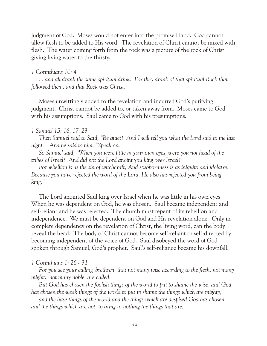judgment of God. Moses would not enter into the promised land. God cannot allow flesh to be added to His word. The revelation of Christ cannot be mixed with flesh. The water coming forth from the rock was a picture of the rock of Christ giving living water to the thirsty.

#### *1 Corinthians 10: 4*

 *... and all drank the same spiritual drink. For they drank of that spiritual Rock that followed them, and that Rock was Christ.*

 Moses unwittingly added to the revelation and incurred God's purifying judgment. Christ cannot be added to, or taken away from. Moses came to God with his assumptions. Saul came to God with his presumptions.

#### *1 Samuel 15: 16, 17, 23*

 *Then Samuel said to Saul, "Be quiet! And I will tell you what the Lord said to me last night." And he said to him, "Speak on."*

 *So Samuel said, "When you were little in your own eyes, were you not head of the tribes of Israel? And did not the Lord anoint you king over Israel?*

 *For rebellion is as the sin of witchcraft, And stubbornness is as iniquity and idolatry. Because you have rejected the word of the Lord, He also has rejected you from being king."*

 The Lord anointed Saul king over Israel when he was little in his own eyes. When he was dependent on God, he was chosen. Saul became independent and self-reliant and he was rejected. The church must repent of its rebellion and independence. We must be dependent on God and His revelation alone. Only in complete dependency on the revelation of Christ, the living word, can the body reveal the head. The body of Christ cannot become self-reliant or self-directed by becoming independent of the voice of God. Saul disobeyed the word of God spoken through Samuel, God's prophet. Saul's self-reliance became his downfall.

#### *1 Corinthians 1: 26 - 31*

 *For you see your calling, brethren, that not many wise according to the flesh, not many mighty, not many noble, are called.*

 *But God has chosen the foolish things of the world to put to shame the wise, and God has chosen the weak things of the world to put to shame the things which are mighty;*

 *and the base things of the world and the things which are despised God has chosen, and the things which are not, to bring to nothing the things that are,*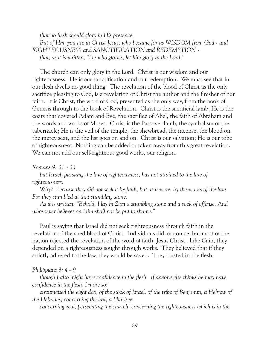*that no flesh should glory in His presence.*

 *But of Him you are in Christ Jesus, who became for us WISDOM from God - and RIGHTEOUSNESS and SANCTIFICATION and REDEMPTION that, as it is written, "He who glories, let him glory in the Lord."*

 The church can only glory in the Lord. Christ is our wisdom and our righteousness; He is our sanctification and our redemption. We must see that in our flesh dwells no good thing. The revelation of the blood of Christ as the only sacrifice pleasing to God, is a revelation of Christ the author and the finisher of our faith. It is Christ, the word of God, presented as the only way, from the book of Genesis through to the book of Revelation. Christ is the sacrificial lamb; He is the coats that covered Adam and Eve, the sacrifice of Abel, the faith of Abraham and the words and works of Moses. Christ is the Passover lamb, the symbolism of the tabernacle; He is the veil of the temple, the shewbread, the incense, the blood on the mercy seat, and the list goes on and on. Christ is our salvation; He is our robe of righteousness. Nothing can be added or taken away from this great revelation. We can not add our self-righteous good works, our religion.

*Romans 9: 31 - 33*

*but Israel, pursuing the law of righteousness, has not attained to the law of righteousness.*

 *Why? Because they did not seek it by faith, but as it were, by the works of the law. For they stumbled at that stumbling stone.*

 *As it is written: "Behold, I lay in Zion a stumbling stone and a rock of offense, And whosoever believes on Him shall not be put to shame."*

 Paul is saying that Israel did not seek righteousness through faith in the revelation of the shed blood of Christ. Individuals did, of course, but most of the nation rejected the revelation of the word of faith: Jesus Christ. Like Cain, they depended on a righteousness sought through works. They believed that if they strictly adhered to the law, they would be saved. They trusted in the flesh.

*Philippians 3: 4 - 9*

 *though I also might have confidence in the flesh. If anyone else thinks he may have confidence in the flesh, I more so:*

 *circumcised the eight day, of the stock of Israel, of the tribe of Benjamin, a Hebrew of the Hebrews; concerning the law, a Pharisee;*

 *concerning zeal, persecuting the church; concerning the righteousness which is in the*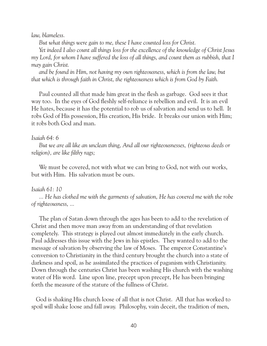*law, blameless.*

 *But what things were gain to me, these I have counted loss for Christ.*

 *Yet indeed I also count all things loss for the excellence of the knowledge of Christ Jesus my Lord, for whom I have suffered the loss of all things, and count them as rubbish, that I may gain Christ.*

 *and be found in Him, not having my own righteousness, which is from the law, but that which is through faith in Christ, the righteousness which is from God by Faith.*

 Paul counted all that made him great in the flesh as garbage. God sees it that way too. In the eyes of God fleshly self-reliance is rebellion and evil. It is an evil He hates, because it has the potential to rob us of salvation and send us to hell. It robs God of His possession, His creation, His bride. It breaks our union with Him; it robs both God and man.

#### *Isaiah 64: 6*

 *But we are all like an unclean thing, And all our righteousnesses, (righteous deeds or religion), are like filthy rags;*

 We must be covered, not with what we can bring to God, not with our works, but with Him. His salvation must be ours.

#### *Isaiah 61: 10*

 *... He has clothed me with the garments of salvation, He has covered me with the robe of righteousness, ...*

 The plan of Satan down through the ages has been to add to the revelation of Christ and then move man away from an understanding of that revelation completely. This strategy is played out almost immediately in the early church. Paul addresses this issue with the Jews in his epistles. They wanted to add to the message of salvation by observing the law of Moses. The emperor Constantine's conversion to Christianity in the third century brought the church into a state of darkness and spoil, as he assimilated the practices of paganism with Christianity. Down through the centuries Christ has been washing His church with the washing water of His word. Line upon line, precept upon precept, He has been bringing forth the measure of the stature of the fullness of Christ.

 God is shaking His church loose of all that is not Christ. All that has worked to spoil will shake loose and fall away. Philosophy, vain deceit, the tradition of men,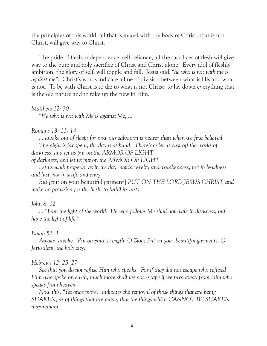the principles of this world, all that is mixed with the body of Christ, that is not Christ, will give way to Christ.

 The pride of flesh, independence, self-reliance, all the sacrifices of flesh will give way to the pure and holy sacrifice of Christ and Christ alone. Every idol of fleshly ambition, the glory of self, will topple and fall. Jesus said, *"he who is not with me is against me".* Christ's words indicate a line of division between what is His and what is not. To be with Christ is to die to what is not Christ; to lay down everything that is the old nature and to take up the new in Him.

*Matthew 12: 30*

*"He who is not with Me is against Me, ...*

#### *Romans 13: 11- 14*

*... awake out of sleep; for now our salvation is nearer than when we first believed.*

*The night is far spent, the day is at hand. Therefore let us cast off the works of darkness, and let us put on the ARMOR OF LIGHT.*

*of darkness, and let us put on the ARMOR OF LIGHT.*

 *Let us walk properly, as in the day, not in revelry and drunkenness, not in lewdness and lust, not in strife and envy.*

 *But [*put on your beautiful garment] *PUT ON THE LORD JESUS CHRIST, and make no provision for the flesh, to fulfill its lusts.*

#### *John 8: 12*

 *... "I am the light of the world. He who follows Me shall not walk in darkness, but have the light of life."*

#### *Isaiah 52: 1*

 *Awake, awake! Put on your strength, O Zion; Put on your beautiful garments, O Jerusalem, the holy city!*

#### *Hebrews 12: 25, 27*

 *See that you do not refuse Him who speaks. For if they did not escape who refused Him who spoke on earth, much more shall we not escape if we turn away from Him who speaks from heaven.*

 *Now this, "Yet once more," indicates the removal of those things that are being SHAKEN, as of things that are made, that the things which CANNOT BE SHAKEN may remain.*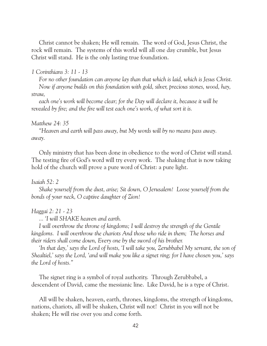Christ cannot be shaken; He will remain. The word of God, Jesus Christ, the rock will remain. The systems of this world will all one day crumble, but Jesus Christ will stand. He is the only lasting true foundation.

#### *1 Corinthians 3: 11 - 13*

 *For no other foundation can anyone lay than that which is laid, which is Jesus Christ. Now if anyone builds on this foundation with gold, silver, precious stones, wood, hay, straw,*

 *each one's work will become clear; for the Day will declare it, because it will be revealed by fire; and the fire will test each one's work, of what sort it is.*

#### *Matthew 24: 35*

 *"Heaven and earth will pass away, but My words will by no means pass away. away.*

 Only ministry that has been done in obedience to the word of Christ will stand. The testing fire of God's word will try every work. The shaking that is now taking hold of the church will prove a pure word of Christ: a pure light.

#### *Isaiah 52: 2*

 *Shake yourself from the dust, arise; Sit down, O Jerusalem! Loose yourself from the bonds of your neck, O captive daughter of Zion!*

#### *Haggai 2: 21 - 23*

 *... 'I will SHAKE heaven and earth.*

 *I will overthrow the throne of kingdoms; I will destroy the strength of the Gentile kingdoms. I will overthrow the chariots And those who ride in them; The horses and their riders shall come down, Every one by the sword of his brother.*

 *'In that day,' says the Lord of hosts, 'I will take you, Zerubbabel My servant, the son of Shealtiel,' says the Lord, 'and will make you like a signet ring; for I have chosen you,' says the Lord of hosts."*

 The signet ring is a symbol of royal authority. Through Zerubbabel, a descendent of David, came the messianic line. Like David, he is a type of Christ.

 All will be shaken, heaven, earth, thrones, kingdoms, the strength of kingdoms, nations, chariots, all will be shaken, Christ will not! Christ in you will not be shaken; He will rise over you and come forth.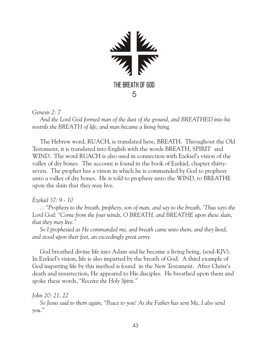

*Genesis 2: 7*

 *And the Lord God formed man of the dust of the ground, and BREATHED into his nostrils the BREATH of life; and man became a living being.*

 The Hebrew word, RUACH, is translated here, BREATH. Throughout the Old Testament, it is translated into English with the words BREATH, SPIRIT and WIND. The word RUACH is also used in connection with Ezekiel's vision of the valley of dry bones. The account is found in the book of Ezekiel, chapter thirtyseven. The prophet has a vision in which he is commanded by God to prophesy unto a valley of dry bones. He is told to prophesy unto the WIND, to BREATHE upon the slain that they may live.

# *Ezekiel 37: 9 - 10*

 *... "Prophesy to the breath, prophesy, son of man, and say to the breath, 'Thus says the*  Lord God: "Come from the four winds, O BREATH, and BREATHE upon these slain, *that they may live."*

 *So I prophesied as He commanded me, and breath came unto them, and they lived, and stood upon their feet, an exceedingly great army.*

 God breathed divine life into Adam and he became a living being, (soul-KJV). In Ezekiel's vision, life is also imparted by the breath of God. A third example of God imparting life by this method is found in the New Testament. After Christ's death and resurrection, He appeared to His disciples. He breathed upon them and spoke these words, *"Receive the Holy Spirit."*

### *John 20: 21, 22*

 *So Jesus said to them again, "Peace to you! As the Father has sent Me, I also send you."*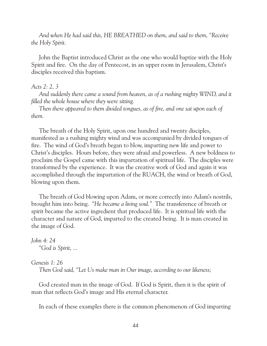*And when He had said this, HE BREATHED on them, and said to them, "Receive the Holy Spirit.*

 John the Baptist introduced Christ as the one who would baptize with the Holy Spirit and fire. On the day of Pentecost, in an upper room in Jerusalem, Christ's disciples received this baptism.

#### *Acts 2: 2, 3*

 *And suddenly there came a sound from heaven, as of a rushing mighty WIND, and it filled the whole house where they were sitting.*

 *Then there appeared to them divided tongues, as of fire, and one sat upon each of them.*

 The breath of the Holy Spirit, upon one hundred and twenty disciples, manifested as a rushing mighty wind and was accompanied by divided tongues of fire. The wind of God's breath began to blow, imparting new life and power to Christ's disciples. Hours before, they were afraid and powerless. A new boldness to proclaim the Gospel came with this impartation of spiritual life. The disciples were transformed by the experience. It was the creative work of God and again it was accomplished through the impartation of the RUACH, the wind or breath of God, blowing upon them.

 The breath of God blowing upon Adam, or more correctly into Adam's nostrils, brought him into being. *"He became a living soul."* The transference of breath or spirit became the active ingredient that produced life. It is spiritual life with the character and nature of God, imparted to the created being. It is man created in the image of God.

*John 4: 24 "God is Spirit, ...*

#### *Genesis 1: 26*

 *Then God said, "Let Us make man in Our image, according to our likeness;*

 God created man in the image of God. If God is Spirit, then it is the spirit of man that reflects God's image and His eternal character.

In each of these examples there is the common phenomenon of God imparting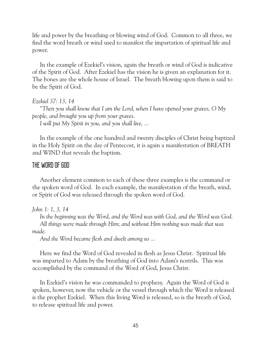life and power by the breathing or blowing wind of God. Common to all three, we find the word breath or wind used to manifest the impartation of spiritual life and power.

 In the example of Ezekiel's vision, again the breath or wind of God is indicative of the Spirit of God. After Ezekiel has the vision he is given an explanation for it. The bones are the whole house of Israel. The breath blowing upon them is said to be the Spirit of God.

#### *Ezekiel 37: 13, 14*

 *"Then you shall know that I am the Lord, when I have opened your graves, O My people, and brought you up from your graves.*

 *I will put My Spirit in you, and you shall live, ...*

 In the example of the one hundred and twenty disciples of Christ being baptized in the Holy Spirit on the day of Pentecost, it is again a manifestation of BREATH and WIND that reveals the baptism.

# THE WORD OF GOD

 Another element common to each of these three examples is the command or the spoken word of God. In each example, the manifestation of the breath, wind, or Spirit of God was released through the spoken word of God.

*John 1: 1, 3, 14*

 *In the beginning was the Word, and the Word was with God, and the Word was God. All things were made through Him; and without Him nothing was made that was made.*

 *And the Word became flesh and dwelt among us ...*

 Here we find the Word of God revealed in flesh as Jesus Christ. Spiritual life was imparted to Adam by the breathing of God into Adam's nostrils. This was accomplished by the command of the Word of God, Jesus Christ.

 In Ezekiel's vision he was commanded to prophesy. Again the Word of God is spoken, however, now the vehicle or the vessel through which the Word is released is the prophet Ezekiel. When this living Word is released, so is the breath of God, to release spiritual life and power.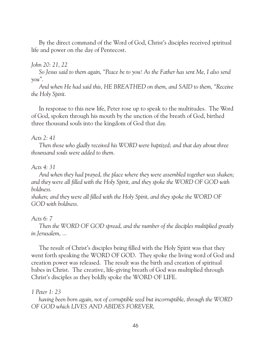By the direct command of the Word of God, Christ's disciples received spiritual life and power on the day of Pentecost.

# *John 20: 21, 22*

 *So Jesus said to them again, "Peace be to you! As the Father has sent Me, I also send you".*

 *And when He had said this, HE BREATHED on them, and SAID to them, "Receive the Holy Spirit.*

 In response to this new life, Peter rose up to speak to the multitudes. The Word of God, spoken through his mouth by the unction of the breath of God, birthed three thousand souls into the kingdom of God that day.

### *Acts 2: 41*

 *Then those who gladly received his WORD were baptized; and that day about three thounsand souls were added to them.*

### *Acts 4: 31*

 *And when they had prayed, the place where they were assembled together was shaken; and they were all filled with the Holy Spirit, and they spoke the WORD OF GOD with boldness.*

*shaken; and they were all filled with the Holy Spirit, and they spoke the WORD OF GOD with boldness.*

### *Acts 6: 7*

 *Then the WORD OF GOD spread, and the number of the disciples multiplied greatly in Jerusalem, ...*

 The result of Christ's disciples being filled with the Holy Spirit was that they went forth speaking the WORD OF GOD. They spoke the living word of God and creation power was released. The result was the birth and creation of spiritual babes in Christ. The creative, life-giving breath of God was multiplied through Christ's disciples as they boldly spoke the WORD OF LIFE.

### *1 Peter 1: 23*

 *having been born again, not of corruptible seed but incorruptible, through the WORD OF GOD which LIVES AND ABIDES FOREVER,*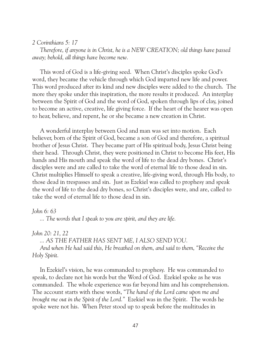#### *2 Corinthians 5: 17*

 *Therefore, if anyone is in Christ, he is a NEW CREATION; old things have passed away; behold, all things have become new.*

 This word of God is a life-giving seed. When Christ's disciples spoke God's word, they became the vehicle through which God imparted new life and power. This word produced after its kind and new disciples were added to the church. The more they spoke under this inspiration, the more results it produced. An interplay between the Spirit of God and the word of God, spoken through lips of clay, joined to become an active, creative, life giving force. If the heart of the hearer was open to hear, believe, and repent, he or she became a new creation in Christ.

 A wonderful interplay between God and man was set into motion. Each believer, born of the Spirit of God, became a son of God and therefore, a spiritual brother of Jesus Christ. They became part of His spiritual body, Jesus Christ being their head. Through Christ, they were positioned in Christ to become His feet, His hands and His mouth and speak the word of life to the dead dry bones. Christ's disciples were and are called to take the word of eternal life to those dead in sin. Christ multiplies Himself to speak a creative, life-giving word, through His body, to those dead in trespasses and sin. Just as Ezekiel was called to prophesy and speak the word of life to the dead dry bones, so Christ's disciples were, and are, called to take the word of eternal life to those dead in sin.

#### *John 6: 63*

 *... The words that I speak to you are spirit, and they are life.*

#### *John 20: 21, 22*

 *... AS THE FATHER HAS SENT ME, I ALSO SEND YOU.*

 *And when He had said this, He breathed on them, and said to them, "Receive the Holy Spirit.*

 In Ezekiel's vision, he was commanded to prophesy. He was commanded to speak, to declare not his words but the Word of God. Ezekiel spoke as he was commanded. The whole experience was far beyond him and his comprehension. The account starts with these words, *"The hand of the Lord came upon me and brought me out in the Spirit of the Lord."* Ezekiel was in the Spirit. The words he spoke were not his. When Peter stood up to speak before the multitudes in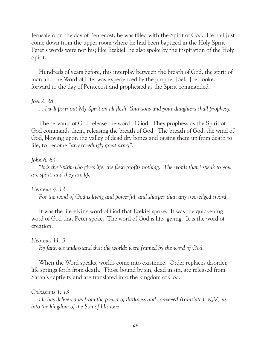Jerusalem on the day of Pentecost, he was filled with the Spirit of God. He had just come down from the upper room where he had been baptized in the Holy Spirit. Peter's words were not his; like Ezekiel, he also spoke by the inspiration of the Holy Spirit.

 Hundreds of years before, this interplay between the breath of God, the spirit of man and the Word of Life, was experienced by the prophet Joel. Joel looked forward to the day of Pentecost and prophesied as the Spirit commanded.

#### *Joel 2: 28*

 *... I will pour out My Spirit on all flesh; Your sons and your daughters shall prophesy,*

 The servants of God release the word of God. They prophesy as the Spirit of God commands them, releasing the breath of God. The breath of God, the wind of God, blowing upon the valley of dead dry bones and raising them up from death to life, to become *"an exceedingly great army".*

# *John 6: 63*

 *"It is the Spirit who gives life; the flesh profits nothing. The words that I speak to you are spirit, and they are life.*

*Hebrews 4: 12*

 *For the word of God is living and powerful, and sharper than any two-edged sword,*

 It was the life-giving word of God that Ezekiel spoke. It was the quickening word of God that Peter spoke. The word of God is life- giving. It is the word of creation.

### *Hebrews 11: 3*

 *By faith we understand that the worlds were framed by the word of God,*

 When the Word speaks, worlds come into existence. Order replaces disorder, life springs forth from death. Those bound by sin, dead in sin, are released from Satan's captivity and are translated into the kingdom of God.

### *Colossians 1: 13*

 *He has delivered us from the power of darkness and conveyed (translated- KJV) us into the kingdom of the Son of His love.*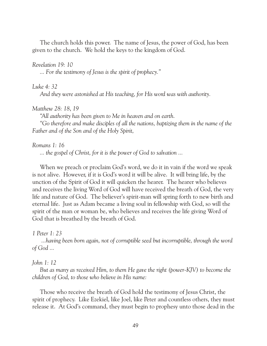The church holds this power. The name of Jesus, the power of God, has been given to the church. We hold the keys to the kingdom of God.

#### *Revelation 19: 10*

 *... For the testimony of Jesus is the spirit of prophecy."*

#### *Luke 4: 32*

 *And they were astonished at His teaching, for His word was with authority.*

#### *Matthew 28: 18*, *19*

 *"All authority has been given to Me in heaven and on earth. "Go therefore and make disciples of all the nations, baptizing them in the name of the Father and of the Son and of the Holy Spirit,*

#### *Romans 1: 16*

 *... the gospel of Christ, for it is the power of God to salvation ...*

 When we preach or proclaim God's word, we do it in vain if the word we speak is not alive. However, if it is God's word it will be alive. It will bring life, by the unction of the Spirit of God it will quicken the hearer. The hearer who believes and receives the living Word of God will have received the breath of God, the very life and nature of God. The believer's spirit-man will spring forth to new birth and eternal life. Just as Adam became a living soul in fellowship with God, so will the spirit of the man or woman be, who believes and receives the life giving Word of God that is breathed by the breath of God.

#### *1 Peter 1: 23*

 *...having been born again, not of corruptible seed but incorruptible, through the word of God ...*

#### *John 1: 12*

 *But as many as received Him, to them He gave the right (power-KJV) to become the children of God, to those who believe in His name:*

 Those who receive the breath of God hold the testimony of Jesus Christ, the spirit of prophecy. Like Ezekiel, like Joel, like Peter and countless others, they must release it. At God's command, they must begin to prophesy unto those dead in the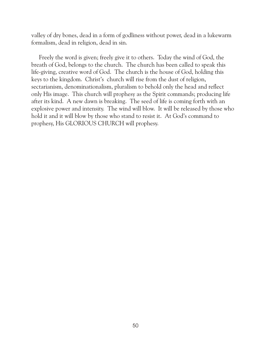valley of dry bones, dead in a form of godliness without power, dead in a lukewarm formalism, dead in religion, dead in sin.

 Freely the word is given; freely give it to others. Today the wind of God, the breath of God, belongs to the church. The church has been called to speak this life-giving, creative word of God. The church is the house of God, holding this keys to the kingdom. Christ's church will rise from the dust of religion, sectarianism, denominationalism, pluralism to behold only the head and reflect only His image. This church will prophesy as the Spirit commands; producing life after its kind. A new dawn is breaking. The seed of life is coming forth with an explosive power and intensity. The wind will blow. It will be released by those who hold it and it will blow by those who stand to resist it. At God's command to prophesy, His GLORIOUS CHURCH will prophesy.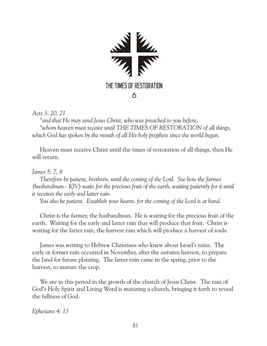

*Acts 3: 20, 21*

 *"and that He may send Jesus Christ, who was preached to you before, "whom heaven must receive until THE TIMES OF RESTORATION of all things, which God has spoken by the mouth of all His holy prophets since the world began.*

 Heaven must receive Christ until the times of restoration of all things, then He will return.

*James 5: 7, 8*

 *Therefore be patient, brethren, until the coming of the Lord. See how the farmer (husbandman - KJV) waits for the precious fruit of the earth, waiting patiently for it until it receives the early and latter rain.*

 *You also be patient. Establish your hearts, for the coming of the Lord is at hand.*

 Christ is the farmer, the husbandman. He is waiting for the precious fruit of the earth. Waiting for the early and latter rain that will produce that fruit. Christ is waiting for the latter rain, the harvest rain which will produce a harvest of souls.

 James was writing to Hebrew Christians who knew about Israel's rains. The early or former rain occurred in November, after the autumn harvest, to prepare the land for future planting. The latter rain came in the spring, prior to the harvest, to mature the crop.

 We are in this period in the growth of the church of Jesus Christ. The rain of God's Holy Spirit and Living Word is maturing a church, bringing it forth to reveal the fullness of God.

*Ephesians 4: 13*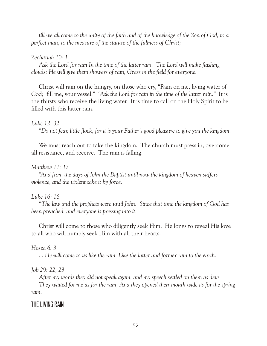*till we all come to the unity of the faith and of the knowledge of the Son of God, to a perfect man, to the measure of the stature of the fullness of Christ;*

# *Zechariah 10: 1*

 *Ask the Lord for rain In the time of the latter rain. The Lord will make flashing clouds; He will give them showers of rain, Grass in the field for everyone.*

 Christ will rain on the hungry, on those who cry, "Rain on me, living water of God; fill me, your vessel." *"Ask the Lord for rain in the time of the latter rain."* It is the thirsty who receive the living water. It is time to call on the Holy Spirit to be filled with this latter rain.

### *Luke 12: 32*

 *"Do not fear, little flock, for it is your Father's good pleasure to give you the kingdom.*

 We must reach out to take the kingdom. The church must press in, overcome all resistance, and receive. The rain is falling.

# *Matthew 11: 12*

 *"And from the days of John the Baptist until now the kingdom of heaven suffers violence, and the violent take it by force.*

# *Luke 16: 16*

 *"The law and the prophets were until John. Since that time the kingdom of God has been preached, and everyone is pressing into it.*

 Christ will come to those who diligently seek Him. He longs to reveal His love to all who will humbly seek Him with all their hearts.

# *Hosea 6: 3*

 *... He will come to us like the rain, Like the latter and former rain to the earth.*

# *Job 29: 22, 23*

 *After my words they did not speak again, and my speech settled on them as dew.*

 *They waited for me as for the rain, And they opened their mouth wide as for the spring rain.*

# THE LIVING RAIN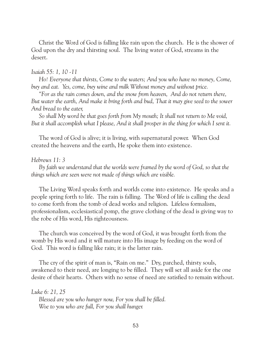Christ the Word of God is falling like rain upon the church. He is the shower of God upon the dry and thirsting soul. The living water of God, streams in the desert.

#### *Isaiah 55: 1, 10 -11*

 *Ho! Everyone that thirsts, Come to the waters; And you who have no money, Come, buy and eat. Yes, come, buy wine and milk Without money and without price.*

 *"For as the rain comes down, and the snow from heaven, And do not return there, But water the earth, And make it bring forth and bud, That it may give seed to the sower And bread to the eater,*

 *So shall My word be that goes forth from My mouth; It shall not return to Me void, But it shall accomplish what I please, And it shall prosper in the thing for which I sent it.*

 The word of God is alive; it is living, with supernatural power. When God created the heavens and the earth, He spoke them into existence.

#### *Hebrews 11: 3*

 *By faith we understand that the worlds were framed by the word of God, so that the things which are seen were not made of things which are visible.*

 The Living Word speaks forth and worlds come into existence. He speaks and a people spring forth to life. The rain is falling. The Word of life is calling the dead to come forth from the tomb of dead works and religion. Lifeless formalism, professionalism, ecclesiastical pomp, the grave clothing of the dead is giving way to the robe of His word, His righteousness.

 The church was conceived by the word of God, it was brought forth from the womb by His word and it will mature into His image by feeding on the word of God. This word is falling like rain; it is the latter rain.

 The cry of the spirit of man is, "Rain on me." Dry, parched, thirsty souls, awakened to their need, are longing to be filled. They will set all aside for the one desire of their hearts. Others with no sense of need are satisfied to remain without.

*Luke 6: 21, 25*

 *Blessed are you who hunger now, For you shall be filled. Woe to you who are full, For you shall hunger.*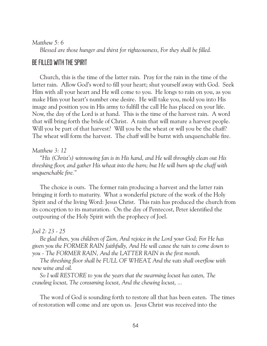#### *Matthew 5: 6*

 *Blessed are those hunger and thirst for righteousness, For they shall be filled.*

# BE FILLED WITH THE SPIRIT

 Church, this is the time of the latter rain. Pray for the rain in the time of the latter rain. Allow God's word to fill your heart; shut yourself away with God. Seek Him with all your heart and He will come to you. He longs to rain on you, as you make Him your heart's number one desire. He will take you, mold you into His image and position you in His army to fulfill the call He has placed on your life. Now, the day of the Lord is at hand. This is the time of the harvest rain. A word that will bring forth the bride of Christ. A rain that will mature a harvest people. Will you be part of that harvest? Will you be the wheat or will you be the chaff? The wheat will form the harvest. The chaff will be burnt with unquenchable fire.

#### *Matthew 3: 12*

 *"His (Christ's) winnowing fan is in His hand, and He will throughly clean out His threshing floor, and gather His wheat into the barn; but He will burn up the chaff with unquenchable fire."*

 The choice is ours. The former rain producing a harvest and the latter rain bringing it forth to maturity. What a wonderful picture of the work of the Holy Spirit and of the living Word: Jesus Christ. This rain has produced the church from its conception to its maturation. On the day of Pentecost, Peter identified the outpouring of the Holy Spirit with the prophecy of Joel.

#### *Joel 2: 23 - 25*

 *Be glad then, you children of Zion, And rejoice in the Lord your God; For He has given you the FORMER RAIN faithfully, And He will cause the rain to come down to you - The FORMER RAIN, And the LATTER RAIN in the first month.*

 *The threshing floor shall be FULL OF WHEAT, And the vats shall overflow with new wine and oil.*

 *So I will RESTORE to you the years that the swarming locust has eaten, The crawling locust, The consuming locust, And the chewing locust, ...*

 The word of God is sounding forth to restore all that has been eaten. The times of restoration will come and are upon us. Jesus Christ was received into the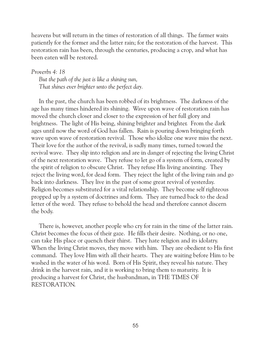heavens but will return in the times of restoration of all things. The farmer waits patiently for the former and the latter rain; for the restoration of the harvest. This restoration rain has been, through the centuries, producing a crop, and what has been eaten will be restored.

*Proverbs 4: 18 But the path of the just is like a shining sun, That shines ever brighter unto the perfect day.*

 In the past, the church has been robbed of its brightness. The darkness of the age has many times hindered its shining. Wave upon wave of restoration rain has moved the church closer and closer to the expression of her full glory and brightness. The light of His being, shining brighter and brighter. From the dark ages until now the word of God has fallen. Rain is pouring down bringing forth wave upon wave of restoration revival. Those who idolize one wave miss the next. Their love for the author of the revival, is sadly many times, turned toward the revival wave. They slip into religion and are in danger of rejecting the living Christ of the next restoration wave. They refuse to let go of a system of form, created by the spirit of religion to obscure Christ. They refuse His living anointing. They reject the living word, for dead form. They reject the light of the living rain and go back into darkness. They live in the past of some great revival of yesterday. Religion becomes substituted for a vital relationship. They become self righteous propped up by a system of doctrines and form. They are turned back to the dead letter of the word. They refuse to behold the head and therefore cannot discern the body.

 There is, however, another people who cry for rain in the time of the latter rain. Christ becomes the focus of their gaze. He fills their desire. Nothing, or no one, can take His place or quench their thirst. They hate religion and its idolatry. When the living Christ moves, they move with him. They are obedient to His first command. They love Him with all their hearts. They are waiting before Him to be washed in the water of his word. Born of His Spirit, they reveal his nature. They drink in the harvest rain, and it is working to bring them to maturity. It is producing a harvest for Christ, the husbandman, in THE TIMES OF RESTORATION.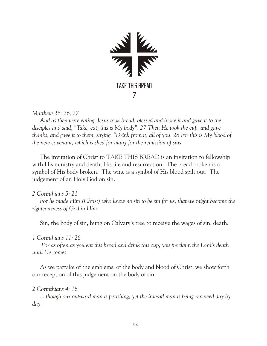

*Matthew 26: 26, 27*

 *And as they were eating, Jesus took bread, blessed and broke it and gave it to the disciples and said, "Take, eat; this is My body". 27 Then He took the cup, and gave thanks, and gave it to them, saying, "Drink from it, all of you. 28 For this is My blood of the new covenant, which is shed for many for the remission of sins.* 

The invitation of Christ to TAKE THIS BREAD is an invitation to fellowship with His ministry and death, His life and resurrection. The bread broken is a symbol of His body broken. The wine is a symbol of His blood spilt out. The judgement of an Holy God on sin.

*2 Corinthians 5: 21*

 *For he made Him (Christ) who knew no sin to be sin for us, that we might become the righteousness of God in Him.*

Sin, the body of sin, hung on Calvary's tree to receive the wages of sin, death.

*1 Corinthians 11: 26*

 *For as often as you eat this bread and drink this cup, you proclaim the Lord's death until He comes.*

 As we partake of the emblems, of the body and blood of Christ, we show forth our reception of this judgement on the body of sin.

#### *2 Corinthians 4: 16*

 *... though our outward man is perishing, yet the inward man is being renewed day by day.*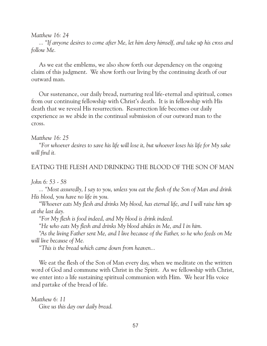*Matthew 16: 24*

 *... "If anyone desires to come after Me, let him deny himself, and take up his cross and follow Me.*

As we eat the emblems, we also show forth our dependency on the ongoing claim of this judgment. We show forth our living by the continuing death of our outward man.

Our sustenance, our daily bread, nurturing real life-eternal and spiritual, comes from our continuing fellowship with Christ's death. It is in fellowship with His death that we reveal His resurrection. Resurrection life becomes our daily experience as we abide in the continual submission of our outward man to the cross.

*Matthew 16: 25*

 *"For whoever desires to save his life will lose it, but whoever loses his life for My sake will find it.*

### EATING THE FLESH AND DRINKING THE BLOOD OF THE SON OF MAN

#### *John 6: 53 - 58*

 *... "Most assuredly, I say to you, unless you eat the flesh of the Son of Man and drink His blood, you have no life in you.*

 *"Whoever eats My flesh and drinks My blood, has eternal life, and I will raise him up at the last day.*

 *"For My flesh is food indeed, and My blood is drink indeed.*

 *"He who eats My flesh and drinks My blood abides in Me, and I in him.*

 *"As the living Father sent Me, and I live because of the Father, so he who feeds on Me will live because of Me.*

 *"This is the bread which came down from heaven...*

We eat the flesh of the Son of Man every day, when we meditate on the written word of God and commune with Christ in the Spirit. As we fellowship with Christ, we enter into a life sustaining spiritual communion with Him. We hear His voice and partake of the bread of life.

*Matthew 6: 11 Give us this day our daily bread.*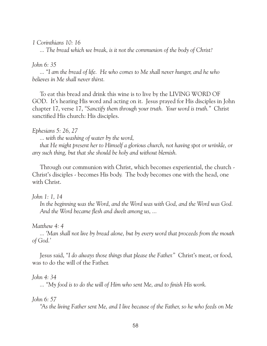# *1 Corinthians 10: 16*

 *... The bread which we break, is it not the communion of the body of Christ?*

# *John 6: 35*

 *... "I am the bread of life. He who comes to Me shall never hunger, and he who believes in Me shall never thirst.*

 To eat this bread and drink this wine is to live by the LIVING WORD OF GOD. It's hearing His word and acting on it. Jesus prayed for His disciples in John chapter 17, verse 17, *"Sanctify them through your truth. Your word is truth."* Christ sanctified His church: His disciples.

# *Ephesians 5: 26, 27*

 *... with the washing of water by the word,*

 *that He might present her to Himself a glorious church, not having spot or wrinkle, or any such thing, but that she should be holy and without blemish.*

 Through our communion with Christ, which becomes experiential, the church - Christ's disciples - becomes His body. The body becomes one with the head, one with Christ.

# *John 1: 1, 14*

 *In the beginning was the Word, and the Word was with God, and the Word was God. And the Word became flesh and dwelt among us, ...*

*Matthew 4: 4*

 *... 'Man shall not live by bread alone, but by every word that proceeds from the mouth of God.'*

 Jesus said, *"I do always those things that please the Father."* Christ's meat, or food, was to do the will of the Father.

# *John 4: 34*

 *... "My food is to do the will of Him who sent Me, and to finish His work.*

# *John 6: 57*

 *"As the living Father sent Me, and I live because of the Father, so he who feeds on Me*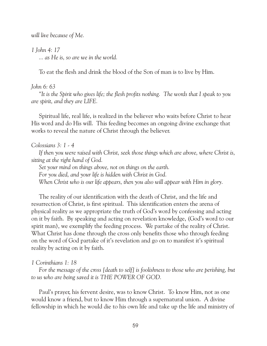*will live because of Me.*

*1 John 4: 17 ... as He is, so are we in the world.*

To eat the flesh and drink the blood of the Son of man is to live by Him.

### *John 6: 63*

 *"It is the Spirit who gives life; the flesh profits nothing. The words that I speak to you are spirit, and they are LIFE.*

 Spiritual life, real life, is realized in the believer who waits before Christ to hear His word and do His will. This feeding becomes an ongoing divine exchange that works to reveal the nature of Christ through the believer.

#### *Colossians 3: 1 - 4*

 *If then you were raised with Christ, seek those things which are above, where Christ is, sitting at the right hand of God.*

 *Set your mind on things above, not on things on the earth. For you died, and your life is hidden with Christ in God. When Christ who is our life appears, then you also will appear with Him in glory.*

 The reality of our identification with the death of Christ, and the life and resurrection of Christ, is first spiritual. This identification enters the arena of physical reality as we appropriate the truth of God's word by confessing and acting on it by faith. By speaking and acting on revelation knowledge, (God's word to our spirit man), we exemplify the feeding process. We partake of the reality of Christ. What Christ has done through the cross only benefits those who through feeding on the word of God partake of it's revelation and go on to manifest it's spiritual reality by acting on it by faith.

#### *1 Corinthians 1: 18*

 *For the message of the cross [death to self] is foolishness to those who are perishing, but to us who are being saved it is THE POWER OF GOD.*

 Paul's prayer, his fervent desire, was to know Christ. To know Him, not as one would know a friend, but to know Him through a supernatural union. A divine fellowship in which he would die to his own life and take up the life and ministry of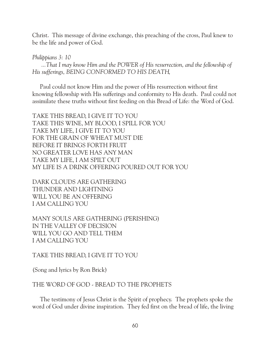Christ. This message of divine exchange, this preaching of the cross, Paul knew to be the life and power of God.

*Philippians 3: 10*

 *...That I may know Him and the POWER of His resurrection, and the fellowship of His sufferings, BEING CONFORMED TO HIS DEATH,*

 Paul could not know Him and the power of His resurrection without first knowing fellowship with His sufferings and conformity to His death. Paul could not assimilate these truths without first feeding on this Bread of Life: the Word of God.

TAKE THIS BREAD, I GIVE IT TO YOU TAKE THIS WINE, MY BLOOD, I SPILL FOR YOU TAKE MY LIFE, I GIVE IT TO YOU FOR THE GRAIN OF WHEAT MUST DIE BEFORE IT BRINGS FORTH FRUIT NO GREATER LOVE HAS ANY MAN TAKE MY LIFE, I AM SPILT OUT MY LIFE IS A DRINK OFFERING POURED OUT FOR YOU

DARK CLOUDS ARE GATHERING THUNDER AND LIGHTNING WILL YOU BE AN OFFERING I AM CALLING YOU

MANY SOULS ARE GATHERING (PERISHING) IN THE VALLEY OF DECISION WILL YOU GO AND TELL THEM I AM CALLING YOU

TAKE THIS BREAD, I GIVE IT TO YOU

(Song and lyrics by Ron Brick)

### THE WORD OF GOD - BREAD TO THE PROPHETS

 The testimony of Jesus Christ is the Spirit of prophecy. The prophets spoke the word of God under divine inspiration. They fed first on the bread of life, the living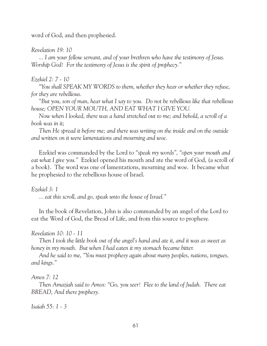word of God, and then prophesied.

### *Revelation 19: 10*

 *... I am your fellow servant, and of your brethren who have the testimony of Jesus. Worship God! For the testimony of Jesus is the spirit of prophecy."*

# *Ezekiel 2: 7 - 10*

 *"You shall SPEAK MY WORDS to them, whether they hear or whether they refuse, for they are rebellious.*

 *"But you, son of man, hear what I say to you. Do not be rebellious like that rebellious house; OPEN YOUR MOUTH, AND EAT WHAT I GIVE YOU.*

 *Now when I looked, there was a hand stretched out to me; and behold, a scroll of a book was in it;*

 *Then He spread it before me; and there was writing on the inside and on the outside and written on it were lamentations and mourning and woe.*

 Ezekiel was commanded by the Lord to *"speak my words", "open your mouth and eat what I give you."* Ezekiel opened his mouth and ate the word of God, (a scroll of a book). The word was one of lamentations, mourning and woe. It became what he prophesied to the rebellious house of Israel.

*Ezekiel 3: 1*

 *... eat this scroll, and go, speak unto the house of Israel."*

 In the book of Revelation, John is also commanded by an angel of the Lord to eat the Word of God, the Bread of Life, and from this source to prophesy.

# *Revelation 10: 10 - 11*

 *Then I took the little book out of the angel's hand and ate it, and it was as sweet as honey in my mouth. But when I had eaten it my stomach became bitter.*

 *And he said to me, "You must prophesy again about many peoples, nations, tongues, and kings."*

# *Amos 7: 12*

 *Then Amaziah said to Amos: "Go, you seer! Flee to the land of Judah. There eat BREAD, And there prophesy.*

*Isaiah 55: 1 - 3*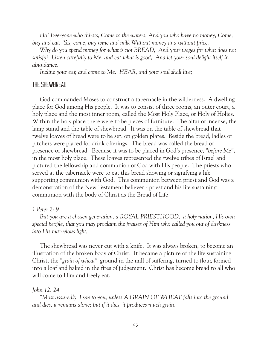*Ho! Everyone who thirsts, Come to the waters; And you who have no money, Come, buy and eat. Yes, come, buy wine and milk Without money and without price.*

 *Why do you spend money for what is not BREAD, And your wages for what does not satisfy? Listen carefully to Me, and eat what is good, And let your soul delight itself in abundance.*

 *Incline your ear, and come to Me. HEAR, and your soul shall live;*

# THE SHEWBREAD

 God commanded Moses to construct a tabernacle in the wilderness. A dwelling place for God among His people. It was to consist of three rooms, an outer court, a holy place and the most inner room, called the Most Holy Place, or Holy of Holies. Within the holy place there were to be pieces of furniture. The altar of incense, the lamp stand and the table of shewbread. It was on the table of shewbread that twelve loaves of bread were to be set, on golden plates. Beside the bread, ladles or pitchers were placed for drink offerings. The bread was called the bread of presence or shewbread. Because it was to be placed in God's presence, *"before Me"*, in the most holy place. These loaves represented the twelve tribes of Israel and pictured the fellowship and communion of God with His people. The priests who served at the tabernacle were to eat this bread showing or signifying a life supporting communion with God. This communion between priest and God was a demonstration of the New Testament believer - priest and his life sustaining communion with the body of Christ as the Bread of Life.

#### *1 Peter 2: 9*

 *But you are a chosen generation, a ROYAL PRIESTHOOD, a holy nation, His own special people, that you may proclaim the praises of Him who called you out of darkness into His marvelous light;*

 The shewbread was never cut with a knife. It was always broken, to become an illustration of the broken body of Christ. It became a picture of the life sustaining Christ, the *"grain of wheat"* ground in the mill of suffering, turned to flour, formed into a loaf and baked in the fires of judgement. Christ has become bread to all who will come to Him and freely eat.

#### *John 12: 24*

 *"Most assuredly, I say to you, unless A GRAIN OF WHEAT falls into the ground and dies, it remains alone; but if it dies, it produces much grain.*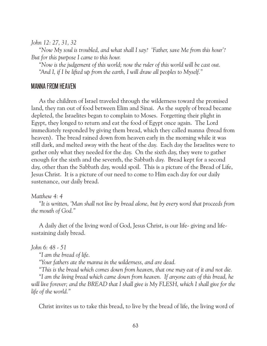*John 12: 27, 31, 32*

 *"Now My soul is troubled, and what shall I say? 'Father, save Me from this hour'? But for this purpose I came to this hour.*

 *"Now is the judgement of this world; now the ruler of this world will be cast out. "And I, if I be lifted up from the earth, I will draw all peoples to Myself."*

# MANNA FROM HEAVEN

 As the children of Israel traveled through the wilderness toward the promised land, they ran out of food between Elim and Sinai. As the supply of bread became depleted, the Israelites began to complain to Moses. Forgetting their plight in Egypt, they longed to return and eat the food of Egypt once again. The Lord immediately responded by giving them bread, which they called manna (bread from heaven). The bread rained down from heaven early in the morning while it was still dark, and melted away with the heat of the day. Each day the Israelites were to gather only what they needed for the day. On the sixth day, they were to gather enough for the sixth and the seventh, the Sabbath day. Bread kept for a second day, other than the Sabbath day, would spoil. This is a picture of the Bread of Life, Jesus Christ. It is a picture of our need to come to Him each day for our daily sustenance, our daily bread.

### *Matthew 4: 4*

 *"It is written, 'Man shall not live by bread alone, but by every word that proceeds from the mouth of God."*

 A daily diet of the living word of God, Jesus Christ, is our life- giving and lifesustaining daily bread.

*John 6: 48 - 51*

 *"I am the bread of life.*

 *"Your fathers ate the manna in the wilderness, and are dead.*

 *"This is the bread which comes down from heaven, that one may eat of it and not die.*

 *"I am the living bread which came down from heaven. If anyone eats of this bread, he*  will live forever; and the BREAD that I shall give is My FLESH, which I shall give for the *life of the world."*

Christ invites us to take this bread, to live by the bread of life, the living word of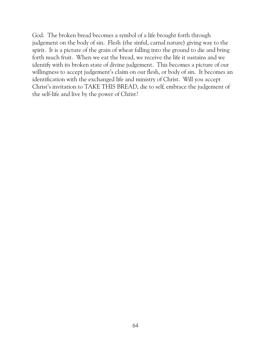God. The broken bread becomes a symbol of a life brought forth through judgement on the body of sin. Flesh (the sinful, carnal nature) giving way to the spirit. It is a picture of the grain of wheat falling into the ground to die and bring forth much fruit. When we eat the bread, we receive the life it sustains and we identify with its broken state of divine judgement. This becomes a picture of our willingness to accept judgement's claim on our flesh, or body of sin. It becomes an identification with the exchanged life and ministry of Christ. Will you accept Christ's invitation to TAKE THIS BREAD, die to self, embrace the judgement of the self-life and live by the power of Christ?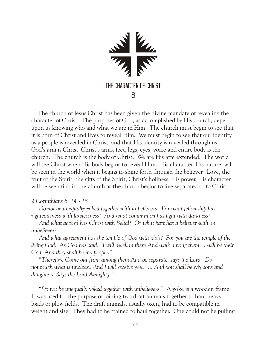

 The church of Jesus Christ has been given the divine mandate of revealing the character of Christ. The purposes of God, as accomplished by His church, depend upon us knowing who and what we are in Him. The church must begin to see that it is born of Christ and lives to reveal Him. We must begin to see that our identity as a people is revealed in Christ, and that His identity is revealed through us. God's arm is Christ. Christ's arms, feet, legs, eyes, voice and entire body is the church. The church is the body of Christ. We are His arm extended. The world will see Christ when His body begins to reveal Him. His character, His nature, will be seen in the world when it begins to shine forth through the believer. Love, the fruit of the Spirit, the gifts of the Spirit, Christ's holiness, His power, His character will be seen first in the church as the church begins to live separated onto Christ.

### *2 Corinthians 6: 14 - 18*

 *Do not be unequally yoked together with unbelievers. For what fellowship has righteousness with lawlessness? And what communion has light with darkness?* 

 *And what accord has Christ with Belial? Or what part has a believer with an unbeliever?*

 *And what agreement has the temple of God with idols? For you are the temple of the living God. As God has said: "I will dwell in them And walk among them. I will be their God, And they shall be my people."*

 *"Therefore Come out from among them And be separate, says the Lord. Do not touch what is unclean, And I will receive you." ... And you shall be My sons and daughters, Says the Lord Almighty."*

 *"Do not be unequally yoked together with unbelievers."* A yoke is a wooden frame. It was used for the purpose of joining two draft animals together to haul heavy loads or plow fields. The draft animals, usually oxen, had to be compatible in weight and size. They had to be trained to haul together. One could not be pulling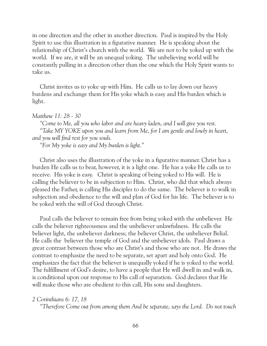in one direction and the other in another direction. Paul is inspired by the Holy Spirit to use this illustration in a figurative manner. He is speaking about the relationship of Christ's church with the world. We are not to be yoked up with the world. If we are, it will be an unequal yoking. The unbelieving world will be constantly pulling in a direction other than the one which the Holy Spirit wants to take us.

 Christ invites us to yoke up with Him. He calls us to lay down our heavy burdens and exchange them for His yoke which is easy and His burden which is light.

#### *Matthew 11: 28 - 30*

 *"Come to Me, all you who labor and are heavy laden, and I will give you rest. "Take MY YOKE upon you and learn from Me, for I am gentle and lowly in heart, and you will find rest for you souls.*

 *"For My yoke is easy and My burden is light."*

 Christ also uses the illustration of the yoke in a figurative manner. Christ has a burden He calls us to bear, however, it is a light one. He has a yoke He calls us to receive. His yoke is easy. Christ is speaking of being yoked to His will. He is calling the believer to be in subjection to Him. Christ, who did that which always pleased the Father, is calling His disciples to do the same. The believer is to walk in subjection and obedience to the will and plan of God for his life. The believer is to be yoked with the will of God through Christ.

 Paul calls the believer to remain free from being yoked with the unbeliever. He calls the believer righteousness and the unbeliever unlawfulness. He calls the believer light, the unbeliever darkness; the believer Christ, the unbeliever Belial. He calls the believer the temple of God and the unbeliever idols. Paul draws a great contrast between those who are Christ's and those who are not. He draws the contrast to emphasize the need to be separate, set apart and holy onto God. He emphasizes the fact that the believer is unequally yoked if he is yoked to the world. The fulfillment of God's desire, to have a people that He will dwell in and walk in, is conditional upon our response to His call of separation. God declares that He will make those who are obedient to this call, His sons and daughters.

#### *2 Corinthians 6: 17, 18*

 *"Therefore Come out from among them And be separate, says the Lord. Do not touch*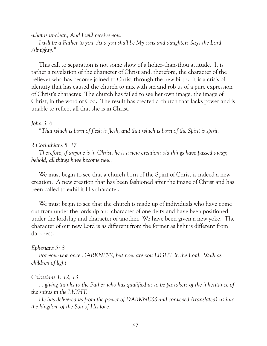*what is unclean, And I will receive you.*

 *I will be a Father to you, And you shall be My sons and daughters Says the Lord Almighty."*

 This call to separation is not some show of a holier-than-thou attitude. It is rather a revelation of the character of Christ and, therefore, the character of the believer who has become joined to Christ through the new birth. It is a crisis of identity that has caused the church to mix with sin and rob us of a pure expression of Christ's character. The church has failed to see her own image, the image of Christ, in the word of God. The result has created a church that lacks power and is unable to reflect all that she is in Christ.

#### *John 3: 6*

 *"That which is born of flesh is flesh, and that which is born of the Spirit is spirit.*

#### *2 Corinthians 5: 17*

 *Therefore, if anyone is in Christ, he is a new creation; old things have passed away; behold, all things have become new.*

 We must begin to see that a church born of the Spirit of Christ is indeed a new creation. A new creation that has been fashioned after the image of Christ and has been called to exhibit His character.

 We must begin to see that the church is made up of individuals who have come out from under the lordship and character of one deity and have been positioned under the lordship and character of another. We have been given a new yoke. The character of our new Lord is as different from the former as light is different from darkness.

#### *Ephesians 5: 8*

 *For you were once DARKNESS, but now are you LIGHT in the Lord. Walk as children of light*

#### *Colossians 1: 12, 13*

 *... giving thanks to the Father who has qualified us to be partakers of the inheritance of the saints in the LIGHT,*

 *He has delivered us from the power of DARKNESS and conveyed (translated) us into the kingdom of the Son of His love.*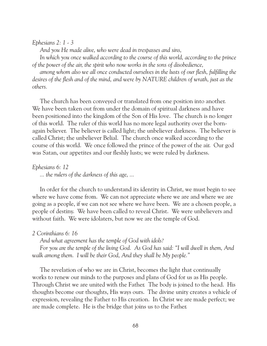#### *Ephesians 2: 1 - 3*

 *And you He made alive, who were dead in trespasses and sins,*

 *In which you once walked according to the course of this world, according to the prince of the power of the air, the spirit who now works in the sons of disobedience,*

 *among whom also we all once conducted ourselves in the lusts of our flesh, fulfilling the desires of the flesh and of the mind, and were by NATURE children of wrath, just as the others.*

 The church has been conveyed or translated from one position into another. We have been taken out from under the domain of spiritual darkness and have been positioned into the kingdom of the Son of His love. The church is no longer of this world. The ruler of this world has no more legal authority over the bornagain believer. The believer is called light; the unbeliever darkness. The believer is called Christ; the unbeliever Belial. The church once walked according to the course of this world. We once followed the prince of the power of the air. Our god was Satan, our appetites and our fleshly lusts; we were ruled by darkness.

*Ephesians 6: 12 ... the rulers of the darkness of this age, ...*

 In order for the church to understand its identity in Christ, we must begin to see where we have come from. We can not appreciate where we are and where we are going as a people, if we can not see where we have been. We are a chosen people, a people of destiny. We have been called to reveal Christ. We were unbelievers and without faith. We were idolaters, but now we are the temple of God.

#### *2 Corinthians 6: 16*

 *And what agreement has the temple of God with idols?*

 *For you are the temple of the living God. As God has said: "I will dwell in them, And walk among them. I will be their God, And they shall be My people."*

 The revelation of who we are in Christ, becomes the light that continually works to renew our minds to the purposes and plans of God for us as His people. Through Christ we are united with the Father. The body is joined to the head. His thoughts become our thoughts, His ways ours. The divine unity creates a vehicle of expression, revealing the Father to His creation. In Christ we are made perfect; we are made complete. He is the bridge that joins us to the Father.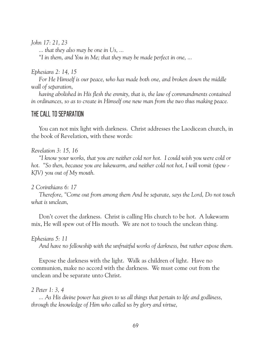*John 17: 21, 23*

 *... that they also may be one in Us, ...*

 *"I in them, and You in Me; that they may be made perfect in one, ...*

*Ephesians 2: 14, 15*

 *For He Himself is our peace, who has made both one, and broken down the middle wall of separation,*

 *having abolished in His flesh the enmity, that is, the law of commandments contained in ordinances, so as to create in Himself one new man from the two thus making peace.* 

# THE CALL TO SEPARATION

 You can not mix light with darkness. Christ addresses the Laodicean church, in the book of Revelation, with these words:

*Revelation 3: 15, 16*

 *"I know your works, that you are neither cold nor hot. I could wish you were cold or hot. "So then, because you are lukewarm, and neither cold not hot, I will vomit (spew - KJV) you out of My mouth.*

*2 Corinthians 6: 17*

 *Therefore, "Come out from among them And be separate, says the Lord, Do not touch what is unclean,*

 Don't covet the darkness. Christ is calling His church to be hot. A lukewarm mix, He will spew out of His mouth. We are not to touch the unclean thing.

*Ephesians 5: 11*

 *And have no fellowship with the unfruitful works of darkness, but rather expose them.*

 Expose the darkness with the light. Walk as children of light. Have no communion, make no accord with the darkness. We must come out from the unclean and be separate unto Christ.

# *2 Peter 1: 3, 4*

 *... As His divine power has given to us all things that pertain to life and godliness, through the knowledge of Him who called us by glory and virtue,*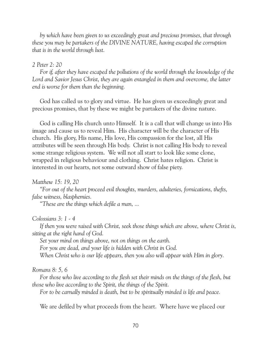*by which have been given to us exceedingly great and precious promises, that through these you may be partakers of the DIVINE NATURE, having escaped the corruption that is in the world through lust.*

### *2 Peter 2: 20*

 *For if, after they have escaped the pollutions of the world through the knowledge of the Lord and Savior Jesus Christ, they are again entangled in them and overcome, the latter end is worse for them than the beginning.*

 God has called us to glory and virtue. He has given us exceedingly great and precious promises, that by these we might be partakers of the divine nature.

 God is calling His church unto Himself. It is a call that will change us into His image and cause us to reveal Him. His character will be the character of His church. His glory, His name, His love, His compassion for the lost, all His attributes will be seen through His body. Christ is not calling His body to reveal some strange religious system. We will not all start to look like some clone, wrapped in religious behaviour and clothing. Christ hates religion. Christ is interested in our hearts, not some outward show of false piety.

#### *Matthew 15: 19, 20*

 *"For out of the heart proceed evil thoughts, murders, adulteries, fornications, thefts, false witness, blasphemies.*

 *"These are the things which defile a man, ...*

#### *Colossians 3: 1 - 4*

 *If then you were raised with Christ, seek those things which are above, where Christ is, sitting at the right hand of God.*

 *Set your mind on things above, not on things on the earth.*

 *For you are dead, and your life is hidden with Christ in God.*

 *When Christ who is our life appears, then you also will appear with Him in glory.*

#### *Romans 8: 5, 6*

 *For those who live according to the flesh set their minds on the things of the flesh, but those who live according to the Spirit, the things of the Spirit.*

 *For to be carnally minded is death, but to be spiritually minded is life and peace.*

We are defiled by what proceeds from the heart. Where have we placed our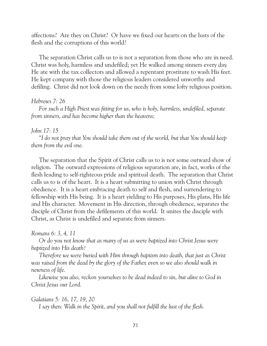affections? Are they on Christ? Or have we fixed our hearts on the lusts of the flesh and the corruptions of this world?

 The separation Christ calls us to is not a separation from those who are in need. Christ was holy, harmless and undefiled; yet He walked among sinners every day. He ate with the tax collectors and allowed a repentant prostitute to wash His feet. He kept company with those the religious leaders considered unworthy and defiling. Christ did not look down on the needy from some lofty religious position.

#### *Hebrews 7: 26*

 *For such a High Priest was fitting for us, who is holy, harmless, undefiled, separate from sinners, and has become higher than the heavens;*

#### *John 17: 15*

 *"I do not pray that You should take them out of the world, but that You should keep them from the evil one.*

 The separation that the Spirit of Christ calls us to is not some outward show of religion. The outward expressions of religious separation are, in fact, works of the flesh leading to self-righteous pride and spiritual death. The separation that Christ calls us to is of the heart. It is a heart submitting to union with Christ through obedience. It is a heart embracing death to self and flesh, and surrendering to fellowship with His being. It is a heart yielding to His purposes, His plans, His life and His character. Movement in His direction, through obedience, separates the disciple of Christ from the defilements of this world. It unites the disciple with Christ, as Christ is undefiled and separate from sinners.

#### *Romans 6: 3, 4, 11*

 *Or do you not know that as many of us as were baptized into Christ Jesus were baptized into His death?*

 *Therefore we were buried with Him through baptism into death, that just as Christ*  was raised from the dead by the glory of the Father, even so we also should walk in *newness of life.*

 *Likewise you also, reckon yourselves to be dead indeed to sin, but alive to God in Christ Jesus our Lord.*

#### *Galatians 5: 16, 17, 19, 20*

 *I say then: Walk in the Spirit, and you shall not fulfill the lust of the flesh.*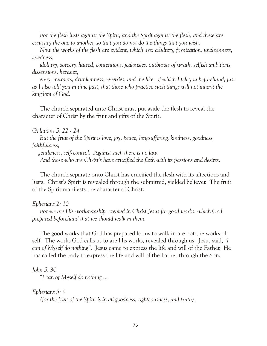*For the flesh lusts against the Spirit, and the Spirit against the flesh; and these are contrary the one to another, so that you do not do the things that you wish.*

 *Now the works of the flesh are evident, which are: adultery, fornication, uncleanness, lewdness,*

 *idolatry, sorcery, hatred, contentions, jealousies, outbursts of wrath, selfish ambitions, dissensions, heresies,*

 *envy, murders, drunkenness, revelries, and the like; of which I tell you beforehand, just as I also told you in time past, that those who practice such things will not inherit the kingdom of God.* 

 The church separated unto Christ must put aside the flesh to reveal the character of Christ by the fruit and gifts of the Spirit.

*Galatians 5: 22 - 24*

 *But the fruit of the Spirit is love, joy, peace, longsuffering, kindness, goodness, faithfulness,*

 *gentleness, self-control. Against such there is no law.*

 *And those who are Christ's have crucified the flesh with its passions and desires.*

 The church separate onto Christ has crucified the flesh with its affections and lusts. Christ's Spirit is revealed through the submitted, yielded believer. The fruit of the Spirit manifests the character of Christ.

*Ephesians 2: 10*

 *For we are His workmanship, created in Christ Jesus for good works, which God prepared beforehand that we should walk in them.*

 The good works that God has prepared for us to walk in are not the works of self. The works God calls us to are His works, revealed through us. Jesus said, *"I can of Myself do nothing".* Jesus came to express the life and will of the Father. He has called the body to express the life and will of the Father through the Son.

*John 5: 30*

 *"I can of Myself do nothing ...*

*Ephesians 5: 9*

 *(for the fruit of the Spirit is in all goodness, righteousness, and truth)*,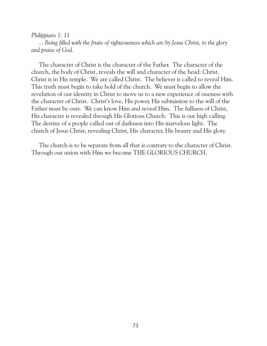#### *Philippians 1: 11*

 *... Being filled with the fruits of righteousness which are by Jesus Christ, to the glory and praise of God.*

 The character of Christ is the character of the Father. The character of the church, the body of Christ, reveals the will and character of the head: Christ. Christ is in His temple. We are called Christ. The believer is called to reveal Him. This truth must begin to take hold of the church. We must begin to allow the revelation of our identity in Christ to move us to a new experience of oneness with the character of Christ. Christ's love, His power, His submission to the will of the Father must be ours. We can know Him and reveal Him. The fullness of Christ, His character is revealed through His Glorious Church. This is our high calling. The destiny of a people called out of darkness into His marvelous light. The church of Jesus Christ, revealing Christ, His character, His beauty and His glory.

 The church is to be separate from all that is contrary to the character of Christ. Through our union with Him we become THE GLORIOUS CHURCH.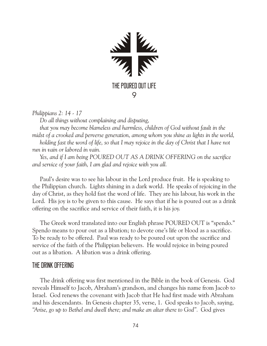

*Philippians 2: 14 - 17*

 *Do all things without complaining and disputing,*

 *that you may become blameless and harmless, children of God without fault in the midst of a crooked and perverse generation, among whom you shine as lights in the world, holding fast the word of life, so that I may rejoice in the day of Christ that I have not run in vain or labored in vain.*

 *Yes, and if I am being POURED OUT AS A DRINK OFFERING on the sacrifice and service of your faith, I am glad and rejoice with you all.*

 Paul's desire was to see his labour in the Lord produce fruit. He is speaking to the Philippian church. Lights shining in a dark world. He speaks of rejoicing in the day of Christ, as they hold fast the word of life. They are his labour, his work in the Lord. His joy is to be given to this cause. He says that if he is poured out as a drink offering on the sacrifice and service of their faith, it is his joy.

 The Greek word translated into our English phrase POURED OUT is "spendo." Spendo means to pour out as a libation; to devote one's life or blood as a sacrifice. To be ready to be offered. Paul was ready to be poured out upon the sacrifice and service of the faith of the Philippian believers. He would rejoice in being poured out as a libation. A libation was a drink offering.

# THE DRINK OFFERING

 The drink offering was first mentioned in the Bible in the book of Genesis. God reveals Himself to Jacob, Abraham's grandson, and changes his name from Jacob to Israel. God renews the covenant with Jacob that He had first made with Abraham and his descendants. In Genesis chapter 35, verse, 1. God speaks to Jacob, saying, *"Arise, go up to Bethel and dwell there; and make an altar there to God".* God gives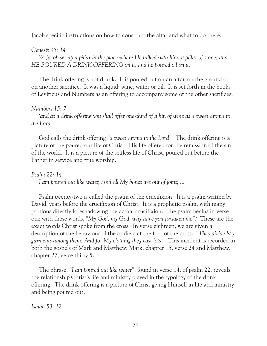Jacob specific instructions on how to construct the altar and what to do there.

## *Genesis 35: 14*

 *So Jacob set up a pillar in the place where He talked with him, a pillar of stone; and HE POURED A DRINK OFFERING on it, and he poured oil on it.*

 The drink offering is not drunk. It is poured out on an altar, on the ground or on another sacrifice. It was a liquid: wine, water or oil. It is set forth in the books of Leviticus and Numbers as an offering to accompany some of the other sacrifices.

## *Numbers 15: 7*

 *'and as a drink offering you shall offer one-third of a hin of wine as a sweet aroma to the Lord.*

 God calls the drink offering *"a sweet aroma to the Lord".* The drink offering is a picture of the poured out life of Christ. His life offered for the remission of the sin of the world. It is a picture of the selfless life of Christ, poured out before the Father in service and true worship.

# *Psalm 22: 14*

 *I am poured out like water, And all My bones are out of joint; ...*

 Psalm twenty-two is called the psalm of the crucifixion. It is a psalm written by David, years before the crucifixion of Christ. It is a prophetic psalm, with many portions directly foreshadowing the actual crucifixion. The psalm begins in verse one with these words, *"My God, my God, why have you forsaken me"?* These are the exact words Christ spoke from the cross. In verse eighteen, we are given a description of the behaviour of the soldiers at the foot of the cross. *"They divide My garments among them, And for My clothing they cast lots".* This incident is recorded in both the gospels of Mark and Matthew: Mark, chapter 15, verse 24 and Matthew, chapter 27, verse thirty 5.

 The phrase, *"I am poured out like water"*, found in verse 14, of psalm 22, reveals the relationship Christ's life and ministry played in the typology of the drink offering. The drink offering is a picture of Christ giving Himself in life and ministry and being poured out.

*Isaiah 53: 12*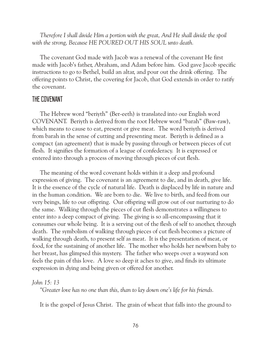*Therefore I shall divide Him a portion with the great, And He shall divide the spoil with the strong, Because HE POURED OUT HIS SOUL unto death.*

 The covenant God made with Jacob was a renewal of the covenant He first made with Jacob's father, Abraham, and Adam before him. God gave Jacob specific instructions to go to Bethel, build an altar, and pour out the drink offering. The offering points to Christ, the covering for Jacob, that God extends in order to ratify the covenant.

## THE COVENANT

 The Hebrew word "beriyth" (Ber-eeth) is translated into our English word COVENANT. Beriyth is derived from the root Hebrew word "barah" (Baw-raw), which means to cause to eat, present or give meat. The word beriyth is derived from barah in the sense of cutting and presenting meat. Beriyth is defined as a compact (an agreement) that is made by passing through or between pieces of cut flesh. It signifies the formation of a league of confederacy. It is expressed or entered into through a process of moving through pieces of cut flesh.

 The meaning of the word covenant holds within it a deep and profound expression of giving. The covenant is an agreement to die, and in death, give life. It is the essence of the cycle of natural life. Death is displaced by life in nature and in the human condition. We are born to die. We live to birth, and feed from our very beings, life to our offspring. Our offspring will grow out of our nurturing to do the same. Walking through the pieces of cut flesh demonstrates a willingness to enter into a deep compact of giving. The giving is so all-encompassing that it consumes our whole being. It is a serving out of the flesh of self to another, through death. The symbolism of walking through pieces of cut flesh becomes a picture of walking through death, to present self as meat. It is the presentation of meat, or food, for the sustaining of another life. The mother who holds her newborn baby to her breast, has glimpsed this mystery. The father who weeps over a wayward son feels the pain of this love. A love so deep it aches to give, and finds its ultimate expression in dying and being given or offered for another.

### *John 15: 13*

 *"Greater love has no one than this, than to lay down one's life for his friends.*

It is the gospel of Jesus Christ. The grain of wheat that falls into the ground to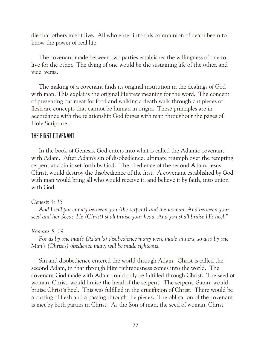die that others might live. All who enter into this communion of death begin to know the power of real life.

 The covenant made between two parties establishes the willingness of one to live for the other. The dying of one would be the sustaining life of the other, and vice versa.

 The making of a covenant finds its original institution in the dealings of God with man. This explains the original Hebrew meaning for the word. The concept of presenting cut meat for food and walking a death walk through cut pieces of flesh are concepts that cannot be human in origin. These principles are in accordance with the relationship God forges with man throughout the pages of Holy Scripture.

## THE FIRST COVENANT

 In the book of Genesis, God enters into what is called the Adamic covenant with Adam. After Adam's sin of disobedience, ultimate triumph over the tempting serpent and sin is set forth by God. The obedience of the second Adam, Jesus Christ, would destroy the disobedience of the first. A covenant established by God with man would bring all who would receive it, and believe it by faith, into union with God.

### *Genesis 3: 15*

 *And I will put enmity between you (the serpent) and the woman, And between your seed and her Seed; He (Christ) shall bruise your head, And you shall bruise His heel."*

### *Romans 5: 19*

 *For as by one man's (Adam's) disobedience many were made sinners, so also by one Man's (Christ's) obedience many will be made righteous.*

 Sin and disobedience entered the world through Adam. Christ is called the second Adam, in that through Him righteousness comes into the world. The covenant God made with Adam could only be fulfilled through Christ. The seed of woman, Christ, would bruise the head of the serpent. The serpent, Satan, would bruise Christ's heel. This was fulfilled in the crucifixion of Christ. There would be a cutting of flesh and a passing through the pieces. The obligation of the covenant is met by both parties in Christ. As the Son of man, the seed of woman, Christ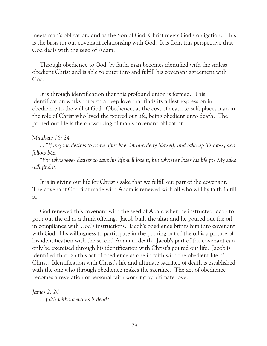meets man's obligation, and as the Son of God, Christ meets God's obligation. This is the basis for our covenant relationship with God. It is from this perspective that God deals with the seed of Adam.

 Through obedience to God, by faith, man becomes identified with the sinless obedient Christ and is able to enter into and fulfill his covenant agreement with God.

 It is through identification that this profound union is formed. This identification works through a deep love that finds its fullest expression in obedience to the will of God. Obedience, at the cost of death to self, places man in the role of Christ who lived the poured out life, being obedient unto death. The poured out life is the outworking of man's covenant obligation.

## *Matthew 16: 24*

 *... "If anyone desires to come after Me, let him deny himself, and take up his cross, and follow Me.*

 *"For whosoever desires to save his life will lose it, but whoever loses his life for My sake will find it.*

 It is in giving our life for Christ's sake that we fulfill our part of the covenant. The covenant God first made with Adam is renewed with all who will by faith fulfill it.

 God renewed this covenant with the seed of Adam when he instructed Jacob to pour out the oil as a drink offering. Jacob built the altar and he poured out the oil in compliance with God's instructions. Jacob's obedience brings him into covenant with God. His willingness to participate in the pouring out of the oil is a picture of his identification with the second Adam in death. Jacob's part of the covenant can only be exercised through his identification with Christ's poured out life. Jacob is identified through this act of obedience as one in faith with the obedient life of Christ. Identification with Christ's life and ultimate sacrifice of death is established with the one who through obedience makes the sacrifice. The act of obedience becomes a revelation of personal faith working by ultimate love.

*James 2: 20 ... faith without works is dead?*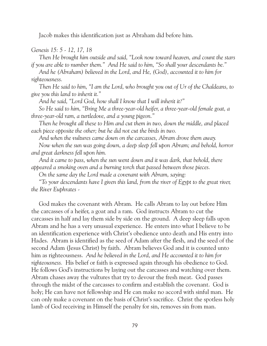Jacob makes this identification just as Abraham did before him.

## *Genesis 15: 5 - 12, 17, 18*

 *Then He brought him outside and said, "Look now toward heaven, and count the stars if you are able to number them." And He said to him, "So shall your descendants be."*

 *And he (Abraham) believed in the Lord, and He, (God), accounted it to him for righteousness.*

 *Then He said to him, "I am the Lord, who brought you out of Ur of the Chaldeans, to give you this land to inherit it."*

 *And he said, "Lord God, how shall I know that I will inherit it?"*

 *So He said to him, "Bring Me a three-year-old heifer, a three-year-old female goat, a three-year-old ram, a turtledove, and a young pigeon."*

 *Then he brought all these to Him and cut them in two, down the middle, and placed each piece opposite the other; but he did not cut the birds in two.*

 *And when the vultures came down on the carcasses, Abram drove them away.*

 *Now when the sun was going down, a deep sleep fell upon Abram; and behold, horror and great darkness fell upon him.*

 *And it came to pass, when the sun went down and it was dark, that behold, there appeared a smoking oven and a burning torch that passed between those pieces.*

 *On the same day the Lord made a covenant with Abram, saying:*

 *"To your descendants have I given this land, from the river of Egypt to the great river, the River Euphrates -*

 God makes the covenant with Abram. He calls Abram to lay out before Him the carcasses of a heifer, a goat and a ram. God instructs Abram to cut the carcasses in half and lay them side by side on the ground. A deep sleep falls upon Abram and he has a very unusual experience. He enters into what I believe to be an identification experience with Christ's obedience unto death and His entry into Hades. Abram is identified as the seed of Adam after the flesh, and the seed of the second Adam (Jesus Christ) by faith. Abram believes God and it is counted unto him as righteousness. *And he believed in the Lord, and He accounted it to him for righteousness.* His belief or faith is expressed again through his obedience to God. He follows God's instructions by laying out the carcasses and watching over them. Abram chases away the vultures that try to devour the fresh meat. God passes through the midst of the carcasses to confirm and establish the covenant. God is holy; He can have not fellowship and He can make no accord with sinful man. He can only make a covenant on the basis of Christ's sacrifice. Christ the spotless holy lamb of God receiving in Himself the penalty for sin, removes sin from man.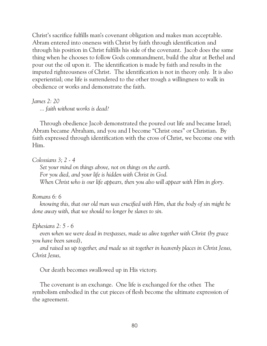Christ's sacrifice fulfills man's covenant obligation and makes man acceptable. Abram entered into oneness with Christ by faith through identification and through his position in Christ fulfills his side of the covenant. Jacob does the same thing when he chooses to follow Gods commandment, build the altar at Bethel and pour out the oil upon it. The identification is made by faith and results in the imputed righteousness of Christ. The identification is not in theory only. It is also experiential; one life is surrendered to the other trough a willingness to walk in obedience or works and demonstrate the faith.

## *James 2: 20*

 *... faith without works is dead?*

 Through obedience Jacob demonstrated the poured out life and became Israel; Abram became Abraham, and you and I become "Christ ones" or Christian. By faith expressed through identification with the cross of Christ, we become one with Him.

## *Colossians 3; 2 - 4*

 *Set your mind on things above, not on things on the earth. For you died, and your life is hidden with Christ in God. When Christ who is our life appears, then you also will appear with Him in glory.*

## *Romans 6: 6*

 *knowing this, that our old man was crucified with Him, that the body of sin might be done away with, that we should no longer be slaves to sin.*

## *Ephesians 2: 5 - 6*

 *even when we were dead in trespasses, made us alive together with Christ (by grace you have been saved),*

 *and raised us up together, and made us sit together in heavenly places in Christ Jesus, Christ Jesus,*

Our death becomes swallowed up in His victory.

 The covenant is an exchange. One life is exchanged for the other. The symbolism embodied in the cut pieces of flesh become the ultimate expression of the agreement.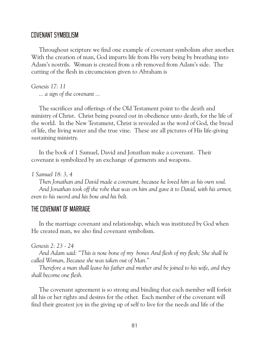# COVENANT SYMBOLISM

 Throughout scripture we find one example of covenant symbolism after another. With the creation of man, God imparts life from His very being by breathing into Adam's nostrils. Woman is created from a rib removed from Adam's side. The cutting of the flesh in circumcision given to Abraham is

*Genesis 17: 11 ... a sign of the covenant ...*

 The sacrifices and offerings of the Old Testament point to the death and ministry of Christ. Christ being poured out in obedience unto death, for the life of the world. In the New Testament, Christ is revealed as the word of God, the bread of life, the living water and the true vine. These are all pictures of His life-giving sustaining ministry.

 In the book of 1 Samuel, David and Jonathan make a covenant. Their covenant is symbolized by an exchange of garments and weapons.

*1 Samuel 18: 3, 4*

 *Then Jonathan and David made a covenant, because he loved him as his own soul. And Jonathan took off the robe that was on him and gave it to David, with his armor, even to his sword and his bow and his belt.*

## THE COVENANT OF MARRIAGE

 In the marriage covenant and relationship, which was instituted by God when He created man, we also find covenant symbolism.

*Genesis 2: 23 - 24*

 *And Adam said: "This is now bone of my bones And flesh of my flesh; She shall be called Woman, Because she was taken out of Man."*

 *Therefore a man shall leave his father and mother and be joined to his wife, and they shall become one flesh.*

 The covenant agreement is so strong and binding that each member will forfeit all his or her rights and desires for the other. Each member of the covenant will find their greatest joy in the giving up of self to live for the needs and life of the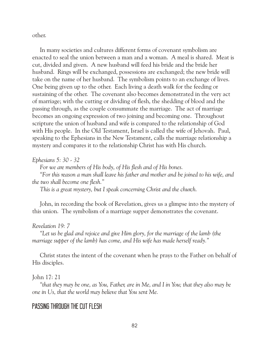other.

 In many societies and cultures different forms of covenant symbolism are enacted to seal the union between a man and a woman. A meal is shared. Meat is cut, divided and given. A new husband will feed his bride and the bride her husband. Rings will be exchanged, possessions are exchanged; the new bride will take on the name of her husband. The symbolism points to an exchange of lives. One being given up to the other. Each living a death walk for the feeding or sustaining of the other. The covenant also becomes demonstrated in the very act of marriage; with the cutting or dividing of flesh, the shedding of blood and the passing through, as the couple consummate the marriage. The act of marriage becomes an ongoing expression of two joining and becoming one. Throughout scripture the union of husband and wife is compared to the relationship of God with His people. In the Old Testament, Israel is called the wife of Jehovah. Paul, speaking to the Ephesians in the New Testament, calls the marriage relationship a mystery and compares it to the relationship Christ has with His church.

## *Ephesians 5: 30 - 32*

 *For we are members of His body, of His flesh and of His bones.*

 *"For this reason a man shall leave his father and mother and be joined to his wife, and the two shall become one flesh."*

 *This is a great mystery, but I speak concerning Christ and the church.*

 John, in recording the book of Revelation, gives us a glimpse into the mystery of this union. The symbolism of a marriage supper demonstrates the covenant.

## *Revelation 19: 7*

 *"Let us be glad and rejoice and give Him glory, for the marriage of the lamb (the marriage supper of the lamb) has come, and His wife has made herself ready."*

 Christ states the intent of the covenant when he prays to the Father on behalf of His disciples.

## John 17: 21

 *"that they may be one, as You, Father, are in Me, and I in You; that they also may be one in Us, that the world may believe that You sent Me.*

# PASSING THROUGH THE CUT FLESH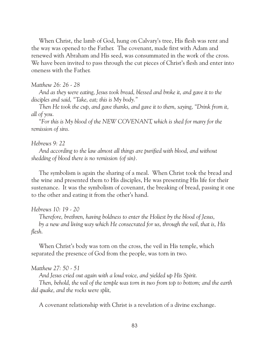When Christ, the lamb of God, hung on Calvary's tree, His flesh was rent and the way was opened to the Father. The covenant, made first with Adam and renewed with Abraham and His seed, was consummated in the work of the cross. We have been invited to pass through the cut pieces of Christ's flesh and enter into oneness with the Father.

### *Matthew 26: 26 - 28*

 *And as they were eating, Jesus took bread, blessed and broke it, and gave it to the disciples and said, "Take, eat; this is My body."*

 *Then He took the cup, and gave thanks, and gave it to them, saying, "Drink from it, all of you.*

 *"For this is My blood of the NEW COVENANT, which is shed for many for the remission of sins.*

### *Hebrews 9: 22*

 *And according to the law almost all things are purified with blood, and without shedding of blood there is no remission (of sin).*

The symbolism is again the sharing of a meal. When Christ took the bread and the wine and presented them to His disciples, He was presenting His life for their sustenance. It was the symbolism of covenant, the breaking of bread, passing it one to the other and eating it from the other's hand.

### *Hebrews 10: 19 - 20*

 *Therefore, brethren, having boldness to enter the Holiest by the blood of Jesus, by a new and living way which He consecrated for us, through the veil, that is, His flesh.*

 When Christ's body was torn on the cross, the veil in His temple, which separated the presence of God from the people, was torn in two.

#### *Matthew 27: 50 - 51*

 *And Jesus cried out again with a loud voice, and yielded up His Spirit.*

 *Then, behold, the veil of the temple was torn in two from top to bottom; and the earth did quake, and the rocks were split,*

A covenant relationship with Christ is a revelation of a divine exchange.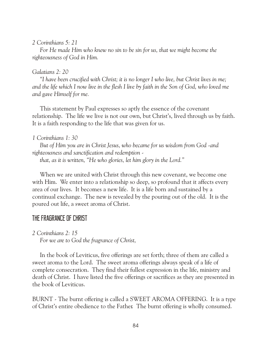### *2 Corinthians 5: 21*

 *For He made Him who knew no sin to be sin for us, that we might become the righteousness of God in Him.*

## *Galatians 2: 20*

 *"I have been crucified with Christ; it is no longer I who live, but Christ lives in me; and the life which I now live in the flesh I live by faith in the Son of God, who loved me and gave Himself for me.*

 This statement by Paul expresses so aptly the essence of the covenant relationship. The life we live is not our own, but Christ's, lived through us by faith. It is a faith responding to the life that was given for us.

## *1 Corinthians 1: 30*

 *But of Him you are in Christ Jesus, who became for us wisdom from God -and righteousness and sanctification and redemption -*

 *that, as it is written, "He who glories, let him glory in the Lord."*

 When we are united with Christ through this new covenant, we become one with Him. We enter into a relationship so deep, so profound that it affects every area of our lives. It becomes a new life. It is a life born and sustained by a continual exchange. The new is revealed by the pouring out of the old. It is the poured out life, a sweet aroma of Christ.

# THE FRAGRANCE OF CHRIST

*2 Corinthians 2: 15*

 *For we are to God the fragrance of Christ,*

 In the book of Leviticus, five offerings are set forth; three of them are called a sweet aroma to the Lord. The sweet aroma offerings always speak of a life of complete consecration. They find their fullest expression in the life, ministry and death of Christ. I have listed the five offerings or sacrifices as they are presented in the book of Leviticus.

BURNT - The burnt offering is called a SWEET AROMA OFFERING. It is a type of Christ's entire obedience to the Father. The burnt offering is wholly consumed.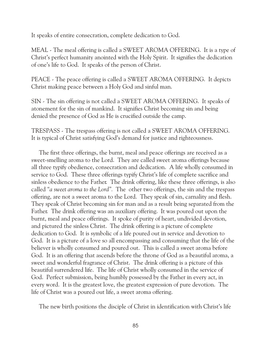It speaks of entire consecration, complete dedication to God.

MEAL - The meal offering is called a SWEET AROMA OFFERING. It is a type of Christ's perfect humanity anointed with the Holy Spirit. It signifies the dedication of one's life to God. It speaks of the person of Christ.

PEACE - The peace offering is called a SWEET AROMA OFFERING. It depicts Christ making peace between a Holy God and sinful man.

SIN - The sin offering is not called a SWEET AROMA OFFERING. It speaks of atonement for the sin of mankind. It signifies Christ becoming sin and being denied the presence of God as He is crucified outside the camp.

TRESPASS - The trespass offering is not called a SWEET AROMA OFFERING. It is typical of Christ satisfying God's demand for justice and righteousness.

 The first three offerings, the burnt, meal and peace offerings are received as a sweet-smelling aroma to the Lord. They are called sweet aroma offerings because all three typify obedience, consecration and dedication. A life wholly consumed in service to God. These three offerings typify Christ's life of complete sacrifice and sinless obedience to the Father. The drink offering, like these three offerings, is also called *"a sweet aroma to the Lord".* The other two offerings, the sin and the trespass offering, are not a sweet aroma to the Lord. They speak of sin, carnality and flesh. They speak of Christ becoming sin for man and as a result being separated from the Father. The drink offering was an auxiliary offering. It was poured out upon the burnt, meal and peace offerings. It spoke of purity of heart, undivided devotion, and pictured the sinless Christ. The drink offering is a picture of complete dedication to God. It is symbolic of a life poured out in service and devotion to God. It is a picture of a love so all encompassing and consuming that the life of the believer is wholly consumed and poured out. This is called a sweet aroma before God. It is an offering that ascends before the throne of God as a beautiful aroma, a sweet and wonderful fragrance of Christ. The drink offering is a picture of this beautiful surrendered life. The life of Christ wholly consumed in the service of God. Perfect submission, being humbly possessed by the Father in every act, in every word. It is the greatest love, the greatest expression of pure devotion. The life of Christ was a poured out life, a sweet aroma offering.

The new birth positions the disciple of Christ in identification with Christ's life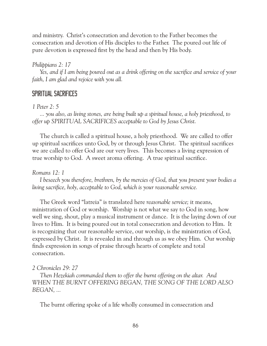and ministry. Christ's consecration and devotion to the Father becomes the consecration and devotion of His disciples to the Father. The poured out life of pure devotion is expressed first by the head and then by His body.

# *Philippians 2: 17*

 *Yes, and if I am being poured out as a drink offering on the sacrifice and service of your faith, I am glad and rejoice with you all.*

# SPIRITUAL SACRIFICES

## *1 Peter 2: 5*

 *... you also, as living stones, are being built up a spiritual house, a holy priesthood, to offer up SPIRITUAL SACRIFICES acceptable to God by Jesus Christ.*

 The church is called a spiritual house, a holy priesthood. We are called to offer up spiritual sacrifices unto God, by or through Jesus Christ. The spiritual sacrifices we are called to offer God are our very lives. This becomes a living expression of true worship to God. A sweet aroma offering. A true spiritual sacrifice.

# *Romans 12: 1*

 *I beseech you therefore, brethren, by the mercies of God, that you present your bodies a living sacrifice, holy, acceptable to God, which is your reasonable service.*

 The Greek word "latreia" is translated here *reasonable service;* it means, ministration of God or worship. Worship is not what we say to God in song, how well we sing, shout, play a musical instrument or dance. It is the laying down of our lives to Him. It is being poured out in total consecration and devotion to Him. It is recognizing that our reasonable service, our worship, is the ministration of God, expressed by Christ. It is revealed in and through us as we obey Him. Our worship finds expression in songs of praise through hearts of complete and total consecration.

# *2 Chronicles 29: 27*

 *Then Hezekiah commanded them to offer the burnt offering on the altar. And WHEN THE BURNT OFFERING BEGAN, THE SONG OF THE LORD ALSO BEGAN, ...*

The burnt offering spoke of a life wholly consumed in consecration and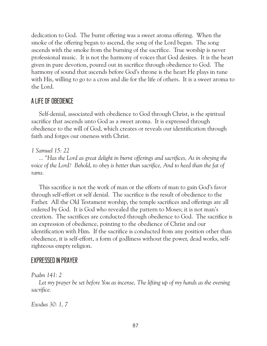dedication to God. The burnt offering was a sweet aroma offering. When the smoke of the offering began to ascend, the song of the Lord began. The song ascends with the smoke from the burning of the sacrifice. True worship is never professional music. It is not the harmony of voices that God desires. It is the heart given in pure devotion, poured out in sacrifice through obedience to God. The harmony of sound that ascends before God's throne is the heart He plays in tune with His, willing to go to a cross and die for the life of others. It is a sweet aroma to the Lord.

# A LIFE OF OBEDIENCE

 Self-denial, associated with obedience to God through Christ, is the spiritual sacrifice that ascends unto God as a sweet aroma. It is expressed through obedience to the will of God, which creates or reveals our identification through faith and forges our oneness with Christ.

# *1 Samuel 15: 22*

 *... "Has the Lord as great delight in burnt offerings and sacrifices, As in obeying the*  voice of the Lord? Behold, to obey is better than sacrifice, And to heed than the fat of *rams.*

 This sacrifice is not the work of man or the efforts of man to gain God's favor through self-effort or self denial. The sacrifice is the result of obedience to the Father. All the Old Testament worship, the temple sacrifices and offerings are all ordered by God. It is God who revealed the pattern to Moses; it is not man's creation. The sacrifices are conducted through obedience to God. The sacrifice is an expression of obedience, pointing to the obedience of Christ and our identification with Him. If the sacrifice is conducted from any position other than obedience, it is self-effort, a form of godliness without the power, dead works, selfrighteous empty religion.

# EXPRESSED IN PRAYER

# *Psalm 141: 2*

 *Let my prayer be set before You as incense, The lifting up of my hands as the evening sacrifice.*

*Exodus 30: 1, 7*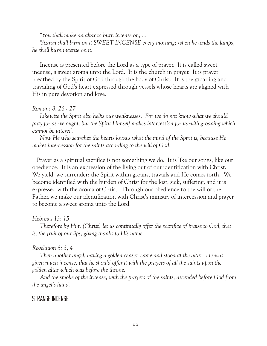*"You shall make an altar to burn incense on; ...*

 *"Aaron shall burn on it SWEET INCENSE every morning; when he tends the lamps, he shall burn incense on it.*

 Incense is presented before the Lord as a type of prayer. It is called sweet incense, a sweet aroma unto the Lord. It is the church in prayer. It is prayer breathed by the Spirit of God through the body of Christ. It is the groaning and travailing of God's heart expressed through vessels whose hearts are aligned with His in pure devotion and love.

### *Romans 8: 26 - 27*

 *Likewise the Spirit also helps our weaknesses. For we do not know what we should pray for as we ought, but the Spirit Himself makes intercession for us with groaning which cannot be uttered.*

 *Now He who searches the hearts knows what the mind of the Spirit is, because He makes intercession for the saints according to the will of God.*

 Prayer as a spiritual sacrifice is not something we do. It is like our songs, like our obedience. It is an expression of the living out of our identification with Christ. We yield, we surrender; the Spirit within groans, travails and He comes forth. We become identified with the burden of Christ for the lost, sick, suffering, and it is expressed with the aroma of Christ. Through our obedience to the will of the Father, we make our identification with Christ's ministry of intercession and prayer to become a sweet aroma unto the Lord.

## *Hebrews 13: 15*

 *Therefore by Him (Christ) let us continually offer the sacrifice of praise to God, that is, the fruit of our lips, giving thanks to His name.*

## *Revelation 8: 3, 4*

 *Then another angel, having a golden censer, came and stood at the altar. He was given much incense, that he should offer it with the prayers of all the saints upon the golden altar which was before the throne.*

 *And the smoke of the incense, with the prayers of the saints, ascended before God from the angel's hand.*

# STRANGE INCENSE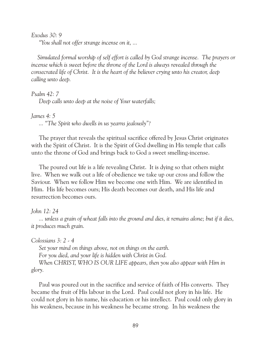*Exodus 30: 9*

 *"You shall not offer strange incense on it, ...*

 *Simulated formal worship of self effort is called by God strange incense. The prayers or incense which is sweet before the throne of the Lord is always revealed through the consecrated life of Christ. It is the heart of the believer crying unto his creator, deep calling unto deep.*

*Psalm 42: 7 Deep calls unto deep at the noise of Your waterfalls;*

*James 4: 5 ... "The Spirit who dwells in us yearns jealously"?*

 The prayer that reveals the spiritual sacrifice offered by Jesus Christ originates with the Spirit of Christ. It is the Spirit of God dwelling in His temple that calls unto the throne of God and brings back to God a sweet smelling-incense.

 The poured out life is a life revealing Christ. It is dying so that others might live. When we walk out a life of obedience we take up our cross and follow the Saviour. When we follow Him we become one with Him. We are identified in Him. His life becomes ours; His death becomes our death, and His life and resurrection becomes ours.

*John 12: 24*

 *... unless a grain of wheat falls into the ground and dies, it remains alone; but if it dies, it produces much grain.*

*Colossians 3: 2 - 4*

 *Set your mind on things above, not on things on the earth. For you died, and your life is hidden with Christ in God.*

 *When CHRIST, WHO IS OUR LIFE appears, then you also appear with Him in glory.*

 Paul was poured out in the sacrifice and service of faith of His converts. They became the fruit of His labour in the Lord. Paul could not glory in his life. He could not glory in his name, his education or his intellect. Paul could only glory in his weakness, because in his weakness he became strong. In his weakness the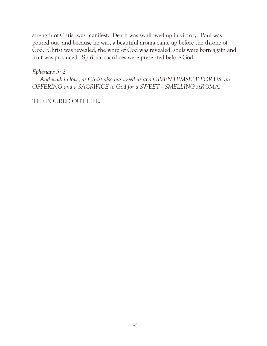strength of Christ was manifest. Death was swallowed up in victory. Paul was poured out, and because he was, a beautiful aroma came up before the throne of God. Christ was revealed, the word of God was revealed, souls were born again and fruit was produced. Spiritual sacrifices were presented before God.

*Ephesians 5: 2*

 *And walk in love, as Christ also has loved us and GIVEN HIMSELF FOR US, an OFFERING and a SACRIFICE to God for a SWEET - SMELLING AROMA.*

THE POURED OUT LIFE.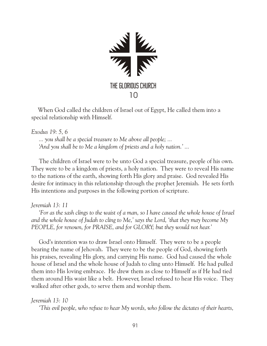

 When God called the children of Israel out of Egypt, He called them into a special relationship with Himself.

*Exodus 19: 5, 6 ... you shall be a special treasure to Me above all people; ... 'And you shall be to Me a kingdom of priests and a holy nation.' ...*

The children of Israel were to be unto God a special treasure, people of his own. They were to be a kingdom of priests, a holy nation. They were to reveal His name to the nations of the earth, showing forth His glory and praise. God revealed His desire for intimacy in this relationship through the prophet Jeremiah. He sets forth His intentions and purposes in the following portion of scripture.

*Jeremiah 13: 11*

 *'For as the sash clings to the waist of a man, so I have caused the whole house of Israel and the whole house of Judah to cling to Me,' says the Lord, 'that they may become My PEOPLE, for renown, for PRAISE, and for GLORY; but they would not hear.'*

 God's intention was to draw Israel onto Himself. They were to be a people bearing the name of Jehovah. They were to be the people of God, showing forth his praises, revealing His glory, and carrying His name. God had caused the whole house of Israel and the whole house of Judah to cling unto Himself. He had pulled them into His loving embrace. He drew them as close to Himself as if He had tied them around His waist like a belt. However, Israel refused to hear His voice. They walked after other gods, to serve them and worship them.

*Jeremiah 13: 10*

 *'This evil people, who refuse to hear My words, who follow the dictates of their hearts,*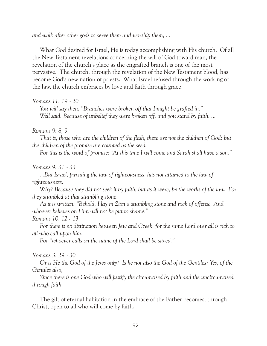*and walk after other gods to serve them and worship them, ...*

 What God desired for Israel, He is today accomplishing with His church. Of all the New Testament revelations concerning the will of God toward man, the revelation of the church's place as the engrafted branch is one of the most pervasive. The church, through the revelation of the New Testament blood, has become God's new nation of priests. What Israel refused through the working of the law, the church embraces by love and faith through grace.

### *Romans 11: 19 - 20*

 *You will say then, "Branches were broken off that I might be grafted in." Well said. Because of unbelief they were broken off, and you stand by faith. ...*

### *Romans 9: 8, 9*

 *That is, those who are the children of the flesh, these are not the children of God: but the children of the promise are counted as the seed.*

 *For this is the word of promise: "At this time I will come and Sarah shall have a son."*

### *Romans 9: 31 - 33*

 *...But Israel, pursuing the law of righteousness, has not attained to the law of righteousness.*

 *Why? Because they did not seek it by faith, but as it were, by the works of the law. For they stumbled at that stumbling stone.*

 *As it is written: "Behold, I lay in Zion a stumbling stone and rock of offense, And whoever believes on Him will not be put to shame."*

### *Romans 10: 12 - 13*

 *For there is no distinction between Jew and Greek, for the same Lord over all is rich to all who call upon him.*

 *For "whoever calls on the name of the Lord shall be saved."*

### *Romans 3: 29 - 30*

 *Or is He the God of the Jews only? Is he not also the God of the Gentiles? Yes, of the Gentiles also,*

 *Since there is one God who will justify the circumcised by faith and the uncircumcised through faith.*

 The gift of eternal habitation in the embrace of the Father becomes, through Christ, open to all who will come by faith.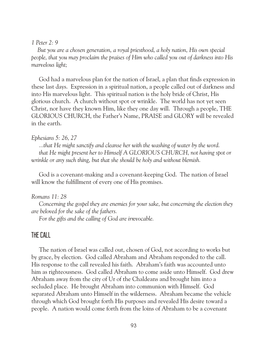### *1 Peter 2: 9*

 *But you are a chosen generation, a royal priesthood, a holy nation, His own special people, that you may proclaim the praises of Him who called you out of darkness into His marvelous light;*

 God had a marvelous plan for the nation of Israel, a plan that finds expression in these last days. Expression in a spiritual nation, a people called out of darkness and into His marvelous light. This spiritual nation is the holy bride of Christ, His glorious church. A church without spot or wrinkle. The world has not yet seen Christ, nor have they known Him, like they one day will. Through a people, THE GLORIOUS CHURCH, the Father's Name, PRAISE and GLORY will be revealed in the earth.

### *Ephesians 5: 26, 27*

 *...that He might sanctify and cleanse her with the washing of water by the word. that He might present her to Himself A GLORIOUS CHURCH, not having spot or wrinkle or any such thing, but that she should be holy and without blemish.*

 God is a covenant-making and a covenant-keeping God. The nation of Israel will know the fulfillment of every one of His promises.

### *Romans 11: 28*

 *Concerning the gospel they are enemies for your sake, but concerning the election they are beloved for the sake of the fathers.*

 *For the gifts and the calling of God are irrevocable.*

# THE CALL

 The nation of Israel was called out, chosen of God, not according to works but by grace, by election. God called Abraham and Abraham responded to the call. His response to the call revealed his faith. Abraham's faith was accounted unto him as righteousness. God called Abraham to come aside unto Himself. God drew Abraham away from the city of Ur of the Chaldeans and brought him into a secluded place. He brought Abraham into communion with Himself. God separated Abraham unto Himself in the wilderness. Abraham became the vehicle through which God brought forth His purposes and revealed His desire toward a people. A nation would come forth from the loins of Abraham to be a covenant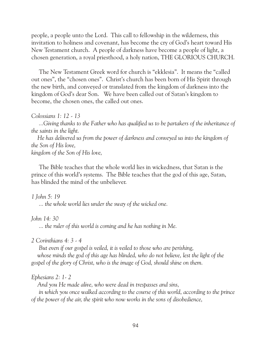people, a people unto the Lord. This call to fellowship in the wilderness, this invitation to holiness and covenant, has become the cry of God's heart toward His New Testament church. A people of darkness have become a people of light, a chosen generation, a royal priesthood, a holy nation, THE GLORIOUS CHURCH.

 The New Testament Greek word for church is "ekklesia". It means the "called out ones", the "chosen ones". Christ's church has been born of His Spirit through the new birth, and conveyed or translated from the kingdom of darkness into the kingdom of God's dear Son. We have been called out of Satan's kingdom to become, the chosen ones, the called out ones.

*Colossians 1: 12 - 13*

 *...Giving thanks to the Father who has qualified us to be partakers of the inheritance of the saints in the light.*

 *He has delivered us from the power of darkness and conveyed us into the kingdom of the Son of His love,*

*kingdom of the Son of His love,*

 The Bible teaches that the whole world lies in wickedness, that Satan is the prince of this world's systems. The Bible teaches that the god of this age, Satan, has blinded the mind of the unbeliever.

*1 John 5: 19*

 *... the whole world lies under the sway of the wicked one.*

*John 14: 30*

 *... the ruler of this world is coming and he has nothing in Me.*

*2 Corinthians 4: 3 - 4*

 *But even if our gospel is veiled, it is veiled to those who are perishing,* whose minds the god of this age has blinded, who do not believe, lest the light of the *gospel of the glory of Christ, who is the image of God, should shine on them.*

*Ephesians 2: 1- 2*

 *And you He made alive, who were dead in trespasses and sins,*

 *in which you once walked according to the course of this world, according to the prince of the power of the air, the spirit who now works in the sons of disobedience,*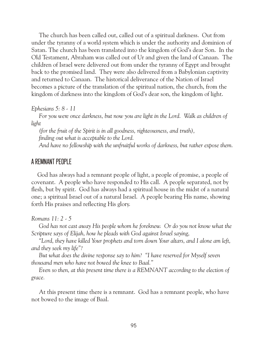The church has been called out, called out of a spiritual darkness. Out from under the tyranny of a world system which is under the authority and dominion of Satan. The church has been translated into the kingdom of God's dear Son. In the Old Testament, Abraham was called out of Ur and given the land of Canaan. The children of Israel were delivered out from under the tyranny of Egypt and brought back to the promised land. They were also delivered from a Babylonian captivity and returned to Canaan. The historical deliverance of the Nation of Israel becomes a picture of the translation of the spiritual nation, the church, from the kingdom of darkness into the kingdom of God's dear son, the kingdom of light.

*Ephesians 5: 8 - 11*

 *For you were once darkness, but now you are light in the Lord. Walk as children of light*

 *(for the fruit of the Spirit is in all goodness, righteousness, and truth), finding out what is acceptable to the Lord.*

 *And have no fellowship with the unfruitful works of darkness, but rather expose them.*

# A REMNANT PEOPLE

 God has always had a remnant people of light, a people of promise, a people of covenant. A people who have responded to His call. A people separated, not by flesh, but by spirit. God has always had a spiritual house in the midst of a natural one; a spiritual Israel out of a natural Israel. A people bearing His name, showing forth His praises and reflecting His glory.

*Romans 11: 2 - 5*

God has not cast away His people whom he foreknew. Or do you not know what the *Scripture says of Elijah, how he pleads with God against Israel saying,*

 *"Lord, they have killed Your prophets and torn down Your altars, and I alone am left, and they seek my life"?*

 *But what does the divine response say to him? "I have reserved for Myself seven thousand men who have not bowed the knee to Baal."*

 *Even so then, at this present time there is a REMNANT according to the election of grace.*

 At this present time there is a remnant. God has a remnant people, who have not bowed to the image of Baal.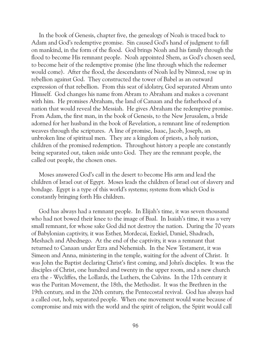In the book of Genesis, chapter five, the genealogy of Noah is traced back to Adam and God's redemptive promise. Sin caused God's hand of judgment to fall on mankind, in the form of the flood. God brings Noah and his family through the flood to become His remnant people. Noah appointed Shem, as God's chosen seed, to become heir of the redemptive promise (the line through which the redeemer would come). After the flood, the descendants of Noah led by Nimrod, rose up in rebellion against God. They constructed the tower of Babel as an outward expression of that rebellion. From this seat of idolatry, God separated Abram unto Himself. God changes his name from Abram to Abraham and makes a covenant with him. He promises Abraham, the land of Canaan and the fatherhood of a nation that would reveal the Messiah. He gives Abraham the redemptive promise. From Adam, the first man, in the book of Genesis, to the New Jerusalem, a bride adorned for her husband in the book of Revelation, a remnant line of redemption weaves through the scriptures. A line of promise, Isaac, Jacob, Joseph, an unbroken line of spiritual men. They are a kingdom of priests, a holy nation, children of the promised redemption. Throughout history a people are constantly being separated out, taken aside unto God. They are the remnant people, the called out people, the chosen ones.

 Moses answered God's call in the desert to become His arm and lead the children of Israel out of Egypt. Moses leads the children of Israel out of slavery and bondage. Egypt is a type of this world's systems; systems from which God is constantly bringing forth His children.

 God has always had a remnant people. In Elijah's time, it was seven thousand who had not bowed their knee to the image of Baal. In Isaiah's time, it was a very small remnant, for whose sake God did not destroy the nation. During the 70 years of Babylonian captivity, it was Esther, Mordecai, Ezekiel, Daniel, Shadrach, Meshach and Abednego. At the end of the captivity, it was a remnant that returned to Canaan under Ezra and Nehemiah. In the New Testament, it was Simeon and Anna, ministering in the temple, waiting for the advent of Christ. It was John the Baptist declaring Christ's first coming, and John's disciples. It was the disciples of Christ, one hundred and twenty in the upper room, and a new church era the - Wycliffes, the Lollards, the Luthers, the Calvins. In the 17th century it was the Puritan Movement, the 18th, the Methodist. It was the Brethren in the 19th century, and in the 20th century, the Pentecostal revival. God has always had a called out, holy, separated people. When one movement would wane because of compromise and mix with the world and the spirit of religion, the Spirit would call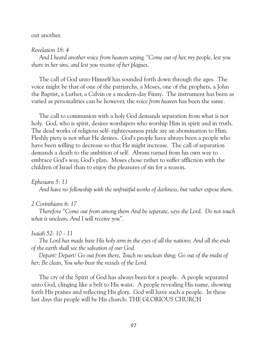### out another.

### *Revelation 18: 4*

 *And I heard another voice from heaven saying, "Come out of her, my people, lest you share in her sins, and lest you receive of her plagues.*

 The call of God unto Himself has sounded forth down through the ages. The voice might be that of one of the patriarchs, a Moses, one of the prophets, a John the Baptist, a Luther, a Calvin or a modern-day Finny. The instrument has been as varied as personalities can be however, the *voice from heaven* has been the same.

 The call to communion with a holy God demands separation from what is not holy. God, who is spirit, desires worshipers who worship Him in spirit and in truth. The dead works of religious self- righteousness pride are an abomination to Him. Fleshly piety is not what He desires. God's people have always been a people who have been willing to decrease so that He might increase. The call of separation demands a death to the ambition of self. Abram turned from his own way to embrace God's way, God's plan. Moses chose rather to suffer affliction with the children of Israel than to enjoy the pleasures of sin for a season.

### *Ephesians 5: 11*

 *And have no fellowship with the unfruitful works of darkness, but rather expose them.*

### *2 Corinthians 6: 17*

 *Therefore "Come out from among them And be separate, says the Lord. Do not touch what is unclean, And I will receive you".*

#### *Isaiah 52: 10 - 11*

 *The Lord has made bare His holy arm in the eyes of all the nations; And all the ends of the earth shall see the salvation of our God.*

 *Depart! Depart! Go out from there, Touch no unclean thing; Go out of the midst of her; Be clean, You who bear the vessels of the Lord.*

 The cry of the Spirit of God has always been for a people. A people separated unto God, clinging like a belt to His waist. A people revealing His name, showing forth His praises and reflecting His glory. God will have such a people. In these last days this people will be His church: THE GLORIOUS CHURCH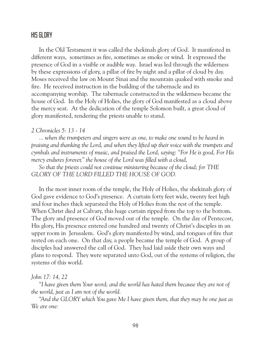# HIS GLORY

 In the Old Testament it was called the shekinah glory of God. It manifested in different ways, sometimes as fire, sometimes as smoke or wind. It expressed the presence of God in a visible or audible way. Israel was led through the wilderness by these expressions of glory, a pillar of fire by night and a pillar of cloud by day. Moses received the law on Mount Sinai and the mountain quaked with smoke and fire. He received instruction in the building of the tabernacle and its accompanying worship. The tabernacle constructed in the wilderness became the house of God. In the Holy of Holies, the glory of God manifested as a cloud above the mercy seat. At the dedication of the temple Solomon built, a great cloud of glory manifested, rendering the priests unable to stand.

### *2 Chronicles 5: 13 - 14*

 *... when the trumpeters and singers were as one, to make one sound to be heard in praising and thanking the Lord, and when they lifted up their voice with the trumpets and cymbals and instruments of music, and praised the Lord, saying: "For He is good, For His mercy endures forever," the house of the Lord was filled with a cloud,*

 *So that the priests could not continue ministering because of the cloud; for THE GLORY OF THE LORD FILLED THE HOUSE OF GOD.*

 In the most inner room of the temple, the Holy of Holies, the shekinah glory of God gave evidence to God's presence. A curtain forty feet wide, twenty feet high and four inches thick separated the Holy of Holies from the rest of the temple. When Christ died at Calvary, this huge curtain ripped from the top to the bottom. The glory and presence of God moved out of the temple. On the day of Pentecost, His glory, His presence entered one hundred and twenty of Christ's disciples in an upper room in Jerusalem. God's glory manifested by wind, and tongues of fire that rested on each one. On that day, a people became the temple of God. A group of disciples had answered the call of God. They had laid aside their own ways and plans to respond. They were separated unto God, out of the systems of religion, the systems of this world.

### *John 17: 14, 22*

 *"I have given them Your word; and the world has hated them because they are not of the world, just as I am not of the world.*

 *"And the GLORY which You gave Me I have given them, that they may be one just as We are one:*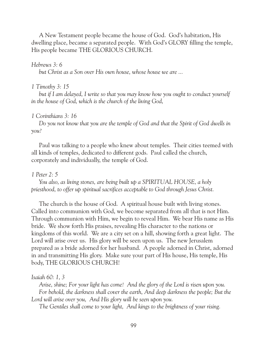A New Testament people became the house of God. God's habitation, His dwelling place, became a separated people. With God's GLORY filling the temple, His people became THE GLORIOUS CHURCH.

#### *Hebrews 3: 6*

 *but Christ as a Son over His own house, whose house we are ...*

#### *1 Timothy 3: 15*

 *but if I am delayed, I write so that you may know how you ought to conduct yourself in the house of God, which is the church of the living God,*

### *1 Corinthians 3: 16*

 *Do you not know that you are the temple of God and that the Spirit of God dwells in you?*

 Paul was talking to a people who knew about temples. Their cities teemed with all kinds of temples, dedicated to different gods. Paul called the church, corporately and individually, the temple of God.

#### *1 Peter 2: 5*

 *You also, as living stones, are being built up a SPIRITUAL HOUSE, a holy priesthood, to offer up spiritual sacrifices acceptable to God through Jesus Christ.*

 The church is the house of God. A spiritual house built with living stones. Called into communion with God, we become separated from all that is not Him. Through communion with Him, we begin to reveal Him. We bear His name as His bride. We show forth His praises, revealing His character to the nations or kingdoms of this world. We are a city set on a hill, showing forth a great light. The Lord will arise over us. His glory will be seen upon us. The new Jerusalem prepared as a bride adorned for her husband. A people adorned in Christ, adorned in and transmitting His glory. Make sure your part of His house, His temple, His body, THE GLORIOUS CHURCH!

#### *Isaiah 60: 1, 3*

 *Arise, shine; For your light has come! And the glory of the Lord is risen upon you. For behold, the darkness shall cover the earth, And deep darkness the people; But the Lord will arise over you, And His glory will be seen upon you.*

 *The Gentiles shall come to your light, And kings to the brightness of your rising.*